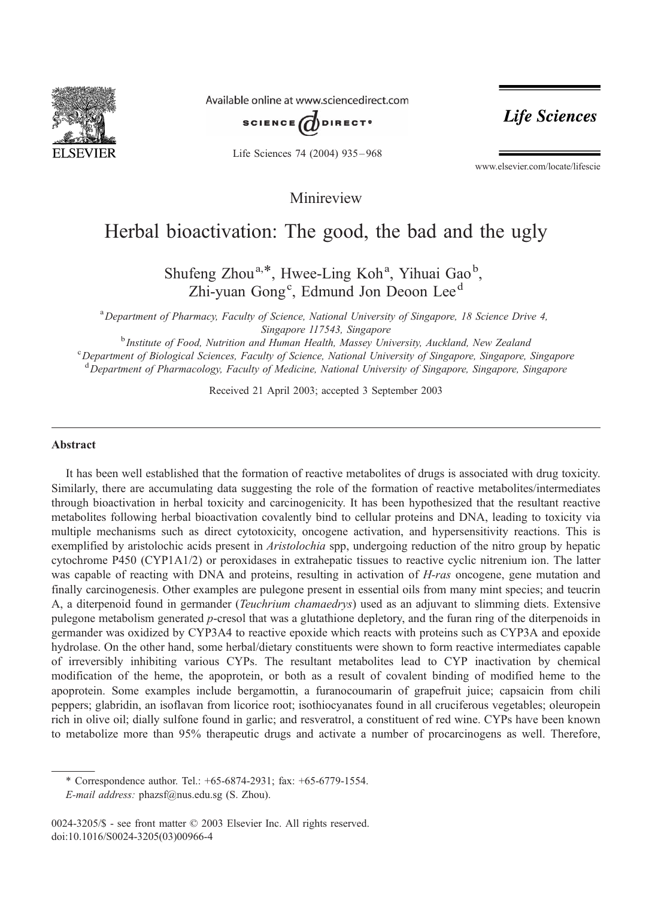

Available online at www.sciencedirect.com



Life Sciences 74 (2004) 935 – 968

Life Sciences

www.elsevier.com/locate/lifescie

Minireview

# Herbal bioactivation: The good, the bad and the ugly

Shufeng Zhou<sup>a,\*</sup>, Hwee-Ling Koh<sup>a</sup>, Yihuai Gao<sup>b</sup>, Zhi-yuan Gong<sup>c</sup>, Edmund Jon Deoon Lee<sup>d</sup>

<sup>a</sup> Department of Pharmacy, Faculty of Science, National University of Singapore, 18 Science Drive 4, Singapore 117543, Singapore<br><sup>b</sup> Institute of Eood, Nutrition and Human Health, Massay Uni

<sup>b</sup> Institute of Food, Nutrition and Human Health, Massey University, Auckland, New Zealand<br>C Department of Biological Sciences, Faculty of Science, National University of Singapore, Singapore Department of Biological Sciences, Faculty of Science, National University of Singapore, Singapore, Singapore <sup>d</sup> Department of Pharmacology, Faculty of Medicine, National University of Singapore, Singapore, Singapore

Received 21 April 2003; accepted 3 September 2003

#### Abstract

It has been well established that the formation of reactive metabolites of drugs is associated with drug toxicity. Similarly, there are accumulating data suggesting the role of the formation of reactive metabolites/intermediates through bioactivation in herbal toxicity and carcinogenicity. It has been hypothesized that the resultant reactive metabolites following herbal bioactivation covalently bind to cellular proteins and DNA, leading to toxicity via multiple mechanisms such as direct cytotoxicity, oncogene activation, and hypersensitivity reactions. This is exemplified by aristolochic acids present in *Aristolochia* spp, undergoing reduction of the nitro group by hepatic cytochrome P450 (CYP1A1/2) or peroxidases in extrahepatic tissues to reactive cyclic nitrenium ion. The latter was capable of reacting with DNA and proteins, resulting in activation of H-ras oncogene, gene mutation and finally carcinogenesis. Other examples are pulegone present in essential oils from many mint species; and teucrin A, a diterpenoid found in germander (Teuchrium chamaedrys) used as an adjuvant to slimming diets. Extensive pulegone metabolism generated p-cresol that was a glutathione depletory, and the furan ring of the diterpenoids in germander was oxidized by CYP3A4 to reactive epoxide which reacts with proteins such as CYP3A and epoxide hydrolase. On the other hand, some herbal/dietary constituents were shown to form reactive intermediates capable of irreversibly inhibiting various CYPs. The resultant metabolites lead to CYP inactivation by chemical modification of the heme, the apoprotein, or both as a result of covalent binding of modified heme to the apoprotein. Some examples include bergamottin, a furanocoumarin of grapefruit juice; capsaicin from chili peppers; glabridin, an isoflavan from licorice root; isothiocyanates found in all cruciferous vegetables; oleuropein rich in olive oil; dially sulfone found in garlic; and resveratrol, a constituent of red wine. CYPs have been known to metabolize more than 95% therapeutic drugs and activate a number of procarcinogens as well. Therefore,

\* Correspondence author. Tel.: +65-6874-2931; fax: +65-6779-1554. E-mail address: phazsf@nus.edu.sg (S. Zhou).

<sup>0024-3205/\$ -</sup> see front matter © 2003 Elsevier Inc. All rights reserved. doi:10.1016/S0024-3205(03)00966-4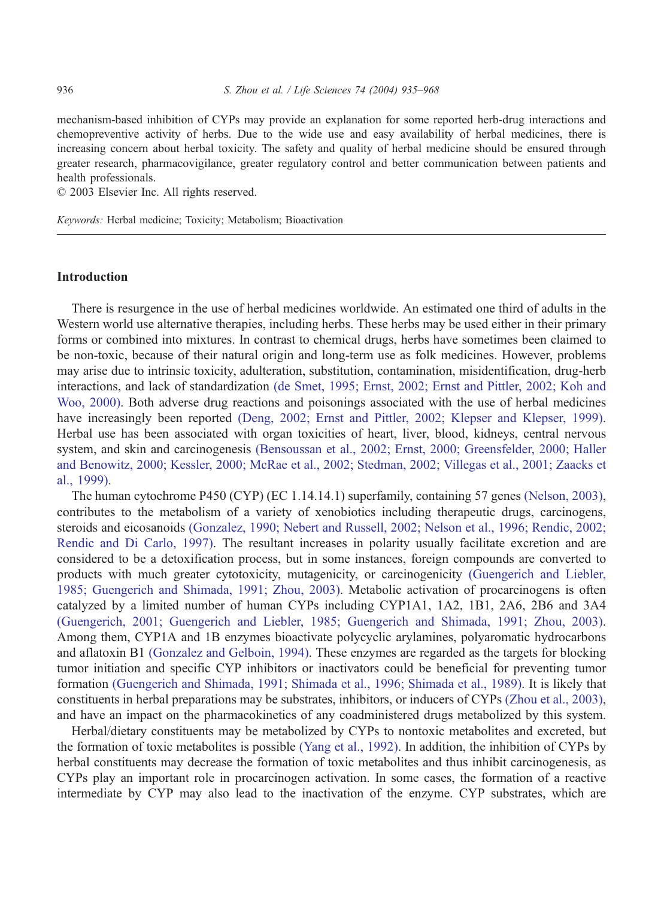mechanism-based inhibition of CYPs may provide an explanation for some reported herb-drug interactions and chemopreventive activity of herbs. Due to the wide use and easy availability of herbal medicines, there is increasing concern about herbal toxicity. The safety and quality of herbal medicine should be ensured through greater research, pharmacovigilance, greater regulatory control and better communication between patients and health professionals.

 $© 2003 Elsevier Inc. All rights reserved.$ 

Keywords: Herbal medicine; Toxicity; Metabolism; Bioactivation

## Introduction

There is resurgence in the use of herbal medicines worldwide. An estimated one third of adults in the Western world use alternative therapies, including herbs. These herbs may be used either in their primary forms or combined into mixtures. In contrast to chemical drugs, herbs have sometimes been claimed to be non-toxic, because of their natural origin and long-term use as folk medicines. However, problems may arise due to intrinsic toxicity, adulteration, substitution, contamination, misidentification, drug-herb interactions, and lack of standardization [\(de Smet, 1995; Ernst, 2002; Ernst and Pittler, 2002; Koh and](#page-23-0) Woo, 2000). Both adverse drug reactions and poisonings associated with the use of herbal medicines have increasingly been reported [\(Deng, 2002; Ernst and Pittler, 2002; Klepser and Klepser, 1999\).](#page-23-0) Herbal use has been associated with organ toxicities of heart, liver, blood, kidneys, central nervous system, and skin and carcinogenesis [\(Bensoussan et al., 2002; Ernst, 2000; Greensfelder, 2000; Haller](#page-22-0) and Benowitz, 2000; Kessler, 2000; McRae et al., 2002; Stedman, 2002; Villegas et al., 2001; Zaacks et al., 1999).

The human cytochrome P450 (CYP) (EC 1.14.14.1) superfamily, containing 57 genes [\(Nelson, 2003\),](#page-29-0) contributes to the metabolism of a variety of xenobiotics including therapeutic drugs, carcinogens, steroids and eicosanoids [\(Gonzalez, 1990; Nebert and Russell, 2002; Nelson et al., 1996; Rendic, 2002;](#page-24-0) Rendic and Di Carlo, 1997). The resultant increases in polarity usually facilitate excretion and are considered to be a detoxification process, but in some instances, foreign compounds are converted to products with much greater cytotoxicity, mutagenicity, or carcinogenicity [\(Guengerich and Liebler,](#page-25-0) 1985; Guengerich and Shimada, 1991; Zhou, 2003). Metabolic activation of procarcinogens is often catalyzed by a limited number of human CYPs including CYP1A1, 1A2, 1B1, 2A6, 2B6 and 3A4 [\(Guengerich, 2001; Guengerich and Liebler, 1985; Guengerich and Shimada, 1991; Zhou, 2003\).](#page-25-0) Among them, CYP1A and 1B enzymes bioactivate polycyclic arylamines, polyaromatic hydrocarbons and aflatoxin B1 [\(Gonzalez and Gelboin, 1994\).](#page-25-0) These enzymes are regarded as the targets for blocking tumor initiation and specific CYP inhibitors or inactivators could be beneficial for preventing tumor formation [\(Guengerich and Shimada, 1991; Shimada et al., 1996; Shimada et al., 1989\).](#page-25-0) It is likely that constituents in herbal preparations may be substrates, inhibitors, or inducers of CYPs [\(Zhou et al., 2003\),](#page-33-0) and have an impact on the pharmacokinetics of any coadministered drugs metabolized by this system.

Herbal/dietary constituents may be metabolized by CYPs to nontoxic metabolites and excreted, but the formation of toxic metabolites is possible [\(Yang et al., 1992\).](#page-32-0) In addition, the inhibition of CYPs by herbal constituents may decrease the formation of toxic metabolites and thus inhibit carcinogenesis, as CYPs play an important role in procarcinogen activation. In some cases, the formation of a reactive intermediate by CYP may also lead to the inactivation of the enzyme. CYP substrates, which are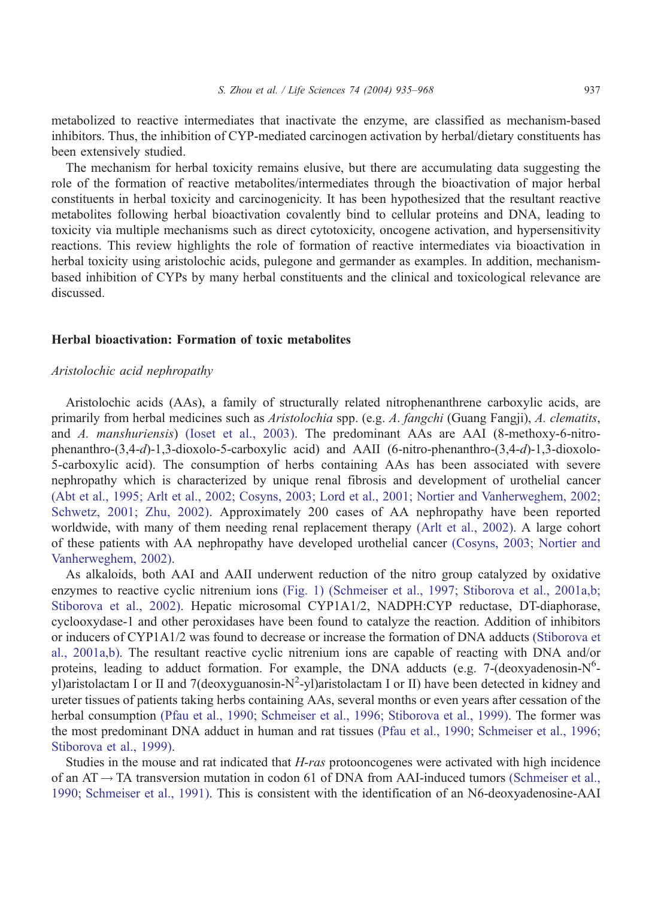metabolized to reactive intermediates that inactivate the enzyme, are classified as mechanism-based inhibitors. Thus, the inhibition of CYP-mediated carcinogen activation by herbal/dietary constituents has been extensively studied.

The mechanism for herbal toxicity remains elusive, but there are accumulating data suggesting the role of the formation of reactive metabolites/intermediates through the bioactivation of major herbal constituents in herbal toxicity and carcinogenicity. It has been hypothesized that the resultant reactive metabolites following herbal bioactivation covalently bind to cellular proteins and DNA, leading to toxicity via multiple mechanisms such as direct cytotoxicity, oncogene activation, and hypersensitivity reactions. This review highlights the role of formation of reactive intermediates via bioactivation in herbal toxicity using aristolochic acids, pulegone and germander as examples. In addition, mechanismbased inhibition of CYPs by many herbal constituents and the clinical and toxicological relevance are discussed.

## Herbal bioactivation: Formation of toxic metabolites

## Aristolochic acid nephropathy

Aristolochic acids (AAs), a family of structurally related nitrophenanthrene carboxylic acids, are primarily from herbal medicines such as Aristolochia spp. (e.g. A. fangchi (Guang Fangji), A. clematits, and A. manshuriensis) [\(Ioset et al., 2003\).](#page-26-0) The predominant AAs are AAI (8-methoxy-6-nitrophenanthro-(3,4-d)-1,3-dioxolo-5-carboxylic acid) and AAII (6-nitro-phenanthro-(3,4-d)-1,3-dioxolo-5-carboxylic acid). The consumption of herbs containing AAs has been associated with severe nephropathy which is characterized by unique renal fibrosis and development of urothelial cancer [\(Abt et al., 1995; Arlt et al., 2002; Cosyns, 2003; Lord et al., 2001; Nortier and Vanherweghem, 2002;](#page-21-0) Schwetz, 2001; Zhu, 2002). Approximately 200 cases of AA nephropathy have been reported worldwide, with many of them needing renal replacement therapy [\(Arlt et al., 2002\).](#page-21-0) A large cohort of these patients with AA nephropathy have developed urothelial cancer [\(Cosyns, 2003; Nortier and](#page-23-0) Vanherweghem, 2002).

As alkaloids, both AAI and AAII underwent reduction of the nitro group catalyzed by oxidative enzymes to reactive cyclic nitrenium ions [\(Fig. 1\)](#page-3-0) [\(Schmeiser et al., 1997; Stiborova et al., 2001a,b;](#page-30-0) Stiborova et al., 2002). Hepatic microsomal CYP1A1/2, NADPH:CYP reductase, DT-diaphorase, cyclooxydase-1 and other peroxidases have been found to catalyze the reaction. Addition of inhibitors or inducers of CYP1A1/2 was found to decrease or increase the formation of DNA adducts [\(Stiborova et](#page-31-0) al., 2001a,b). The resultant reactive cyclic nitrenium ions are capable of reacting with DNA and/or proteins, leading to adduct formation. For example, the DNA adducts (e.g. 7-(deoxyadenosin-N<sup>6</sup>yl)aristolactam I or II and 7(deoxyguanosin-N<sup>2</sup>-yl)aristolactam I or II) have been detected in kidney and ureter tissues of patients taking herbs containing AAs, several months or even years after cessation of the herbal consumption [\(Pfau et al., 1990; Schmeiser et al., 1996; Stiborova et al., 1999\).](#page-29-0) The former was the most predominant DNA adduct in human and rat tissues [\(Pfau et al., 1990; Schmeiser et al., 1996;](#page-29-0) Stiborova et al., 1999).

Studies in the mouse and rat indicated that H-ras protooncogenes were activated with high incidence of an  $AT \rightarrow TA$  transversion mutation in codon 61 of DNA from AAI-induced tumors [\(Schmeiser et al.,](#page-30-0) 1990; Schmeiser et al., 1991). This is consistent with the identification of an N6-deoxyadenosine-AAI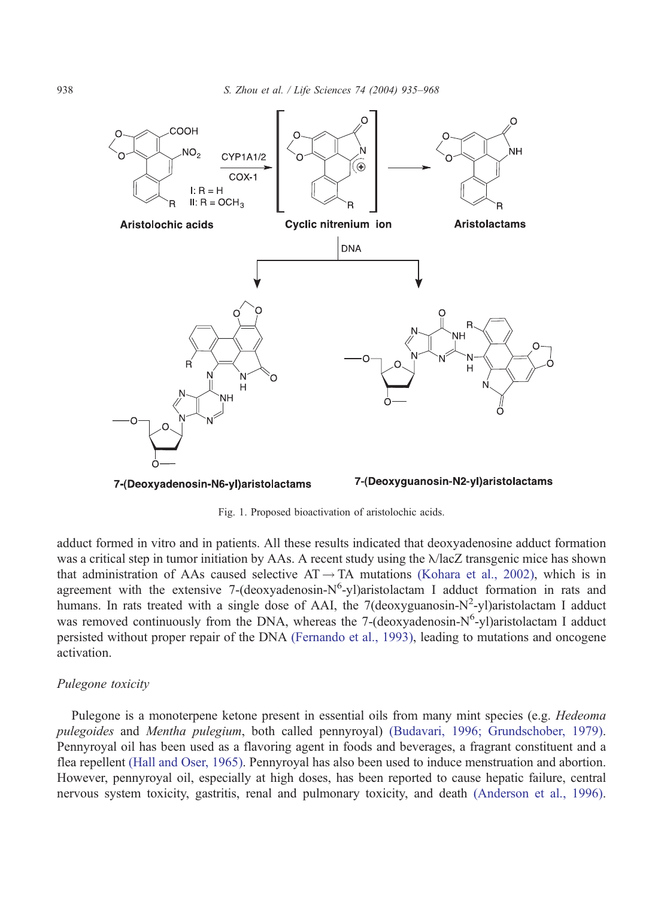<span id="page-3-0"></span>

7-(Deoxyadenosin-N6-yl)aristolactams

7-(Deoxyguanosin-N2-yl)aristolactams

Fig. 1. Proposed bioactivation of aristolochic acids.

adduct formed in vitro and in patients. All these results indicated that deoxyadenosine adduct formation was a critical step in tumor initiation by AAs. A recent study using the  $\lambda$ lacZ transgenic mice has shown that administration of AAs caused selective  $AT \rightarrow TA$  mutations [\(Kohara et al., 2002\),](#page-26-0) which is in agreement with the extensive 7-(deoxyadenosin-N<sup>6</sup>-yl)aristolactam I adduct formation in rats and humans. In rats treated with a single dose of AAI, the 7(deoxyguanosin-N<sup>2</sup>-yl)aristolactam I adduct was removed continuously from the DNA, whereas the 7-(deoxyadenosin-N<sup>6</sup>-yl)aristolactam I adduct persisted without proper repair of the DNA [\(Fernando et al., 1993\),](#page-24-0) leading to mutations and oncogene activation.

### Pulegone toxicity

Pulegone is a monoterpene ketone present in essential oils from many mint species (e.g. *Hedeoma* pulegoides and Mentha pulegium, both called pennyroyal) [\(Budavari, 1996; Grundschober, 1979\).](#page-22-0) Pennyroyal oil has been used as a flavoring agent in foods and beverages, a fragrant constituent and a flea repellent [\(Hall and Oser, 1965\).](#page-25-0) Pennyroyal has also been used to induce menstruation and abortion. However, pennyroyal oil, especially at high doses, has been reported to cause hepatic failure, central nervous system toxicity, gastritis, renal and pulmonary toxicity, and death [\(Anderson et al., 1996\).](#page-21-0)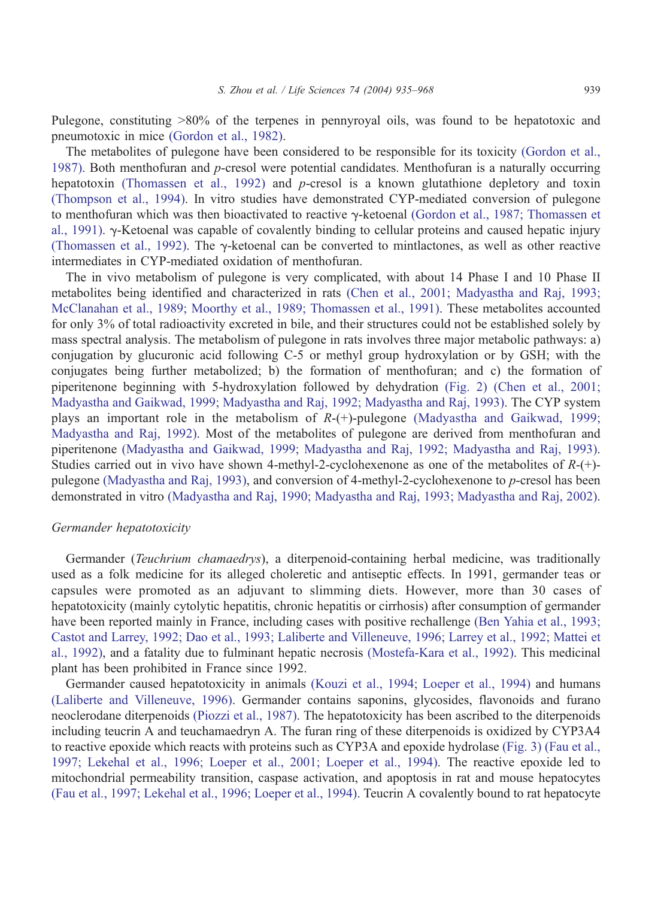Pulegone, constituting >80% of the terpenes in pennyroyal oils, was found to be hepatotoxic and pneumotoxic in mice [\(Gordon et al., 1982\).](#page-25-0)

The metabolites of pulegone have been considered to be responsible for its toxicity [\(Gordon et al.,](#page-25-0) 1987). Both menthofuran and  $p$ -cresol were potential candidates. Menthofuran is a naturally occurring hepatotoxin [\(Thomassen et al., 1992\)](#page-32-0) and p-cresol is a known glutathione depletory and toxin [\(Thompson et al., 1994\).](#page-32-0) In vitro studies have demonstrated CYP-mediated conversion of pulegone to menthofuran which was then bioactivated to reactive  $\gamma$ -ketoenal [\(Gordon et al., 1987; Thomassen et](#page-25-0) al., 1991).  $\gamma$ -Ketoenal was capable of covalently binding to cellular proteins and caused hepatic injury [\(Thomassen et al., 1992\).](#page-32-0) The  $\gamma$ -ketoenal can be converted to mintlactones, as well as other reactive intermediates in CYP-mediated oxidation of menthofuran.

The in vivo metabolism of pulegone is very complicated, with about 14 Phase I and 10 Phase II metabolites being identified and characterized in rats [\(Chen et al., 2001; Madyastha and Raj, 1993;](#page-23-0) McClanahan et al., 1989; Moorthy et al., 1989; Thomassen et al., 1991). These metabolites accounted for only 3% of total radioactivity excreted in bile, and their structures could not be established solely by mass spectral analysis. The metabolism of pulegone in rats involves three major metabolic pathways: a) conjugation by glucuronic acid following C-5 or methyl group hydroxylation or by GSH; with the conjugates being further metabolized; b) the formation of menthofuran; and c) the formation of piperitenone beginning with 5-hydroxylation followed by dehydration [\(Fig. 2\)](#page-5-0) [\(Chen et al., 2001;](#page-23-0) Madyastha and Gaikwad, 1999; Madyastha and Raj, 1992; Madyastha and Raj, 1993). The CYP system plays an important role in the metabolism of R-(+)-pulegone [\(Madyastha and Gaikwad, 1999;](#page-28-0) Madyastha and Raj, 1992). Most of the metabolites of pulegone are derived from menthofuran and piperitenone [\(Madyastha and Gaikwad, 1999; Madyastha and Raj, 1992; Madyastha and Raj, 1993\).](#page-28-0) Studies carried out in vivo have shown 4-methyl-2-cyclohexenone as one of the metabolites of R-(+) pulegone [\(Madyastha and Raj, 1993\),](#page-28-0) and conversion of 4-methyl-2-cyclohexenone to p-cresol has been demonstrated in vitro [\(Madyastha and Raj, 1990; Madyastha and Raj, 1993; Madyastha and Raj, 2002\).](#page-28-0)

#### Germander hepatotoxicity

Germander (*Teuchrium chamaedrys*), a diterpenoid-containing herbal medicine, was traditionally used as a folk medicine for its alleged choleretic and antiseptic effects. In 1991, germander teas or capsules were promoted as an adjuvant to slimming diets. However, more than 30 cases of hepatotoxicity (mainly cytolytic hepatitis, chronic hepatitis or cirrhosis) after consumption of germander have been reported mainly in France, including cases with positive rechallenge [\(Ben Yahia et al., 1993;](#page-22-0) Castot and Larrey, 1992; Dao et al., 1993; Laliberte and Villeneuve, 1996; Larrey et al., 1992; Mattei et al., 1992), and a fatality due to fulminant hepatic necrosis [\(Mostefa-Kara et al., 1992\).](#page-28-0) This medicinal plant has been prohibited in France since 1992.

Germander caused hepatotoxicity in animals [\(Kouzi et al., 1994; Loeper et al., 1994\)](#page-27-0) and humans [\(Laliberte and Villeneuve, 1996\).](#page-27-0) Germander contains saponins, glycosides, flavonoids and furano neoclerodane diterpenoids [\(Piozzi et al., 1987\).](#page-29-0) The hepatotoxicity has been ascribed to the diterpenoids including teucrin A and teuchamaedryn A. The furan ring of these diterpenoids is oxidized by CYP3A4 to reactive epoxide which reacts with proteins such as CYP3A and epoxide hydrolase [\(Fig. 3\)](#page-6-0) [\(Fau et al.,](#page-24-0) 1997; Lekehal et al., 1996; Loeper et al., 2001; Loeper et al., 1994). The reactive epoxide led to mitochondrial permeability transition, caspase activation, and apoptosis in rat and mouse hepatocytes [\(Fau et al., 1997; Lekehal et al., 1996; Loeper et al., 1994\).](#page-24-0) Teucrin A covalently bound to rat hepatocyte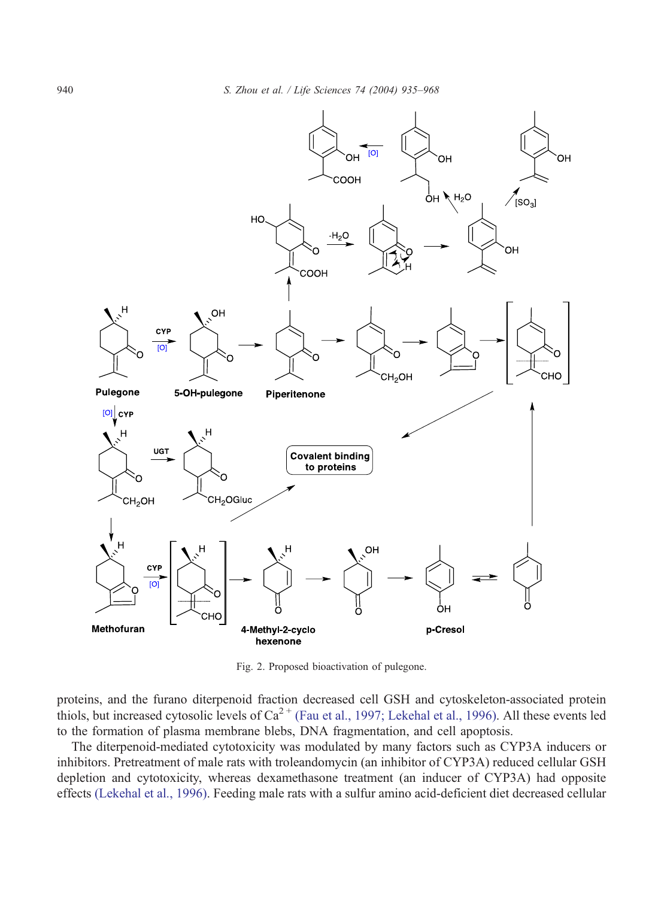<span id="page-5-0"></span>

Fig. 2. Proposed bioactivation of pulegone.

proteins, and the furano diterpenoid fraction decreased cell GSH and cytoskeleton-associated protein thiols, but increased cytosolic levels of  $Ca^{2+}$  [\(Fau et al., 1997; Lekehal et al., 1996\).](#page-24-0) All these events led to the formation of plasma membrane blebs, DNA fragmentation, and cell apoptosis.

The diterpenoid-mediated cytotoxicity was modulated by many factors such as CYP3A inducers or inhibitors. Pretreatment of male rats with troleandomycin (an inhibitor of CYP3A) reduced cellular GSH depletion and cytotoxicity, whereas dexamethasone treatment (an inducer of CYP3A) had opposite effects [\(Lekehal et al., 1996\).](#page-27-0) Feeding male rats with a sulfur amino acid-deficient diet decreased cellular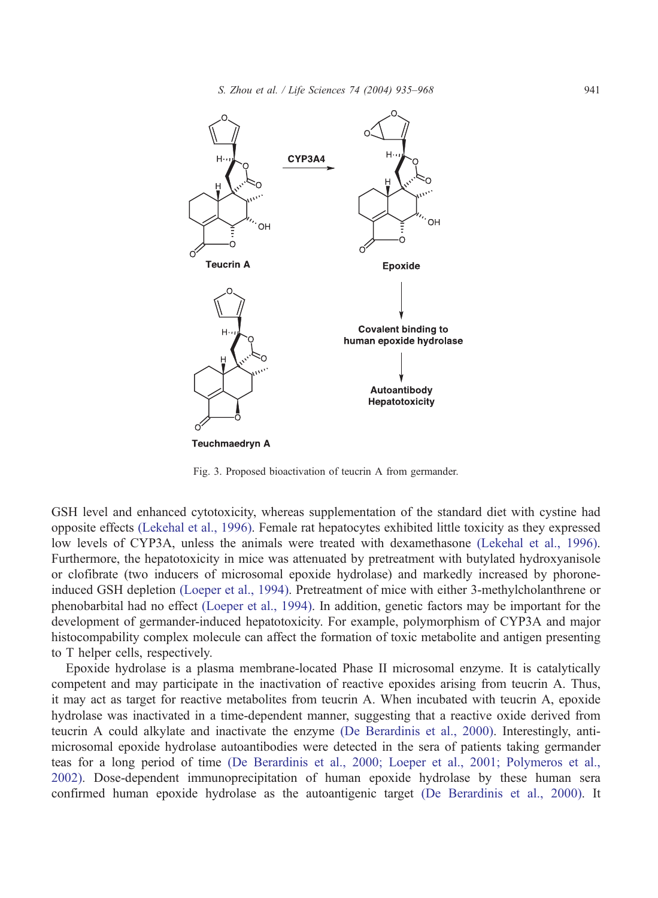<span id="page-6-0"></span>

Fig. 3. Proposed bioactivation of teucrin A from germander.

GSH level and enhanced cytotoxicity, whereas supplementation of the standard diet with cystine had opposite effects [\(Lekehal et al., 1996\).](#page-27-0) Female rat hepatocytes exhibited little toxicity as they expressed low levels of CYP3A, unless the animals were treated with dexamethasone [\(Lekehal et al., 1996\).](#page-27-0) Furthermore, the hepatotoxicity in mice was attenuated by pretreatment with butylated hydroxyanisole or clofibrate (two inducers of microsomal epoxide hydrolase) and markedly increased by phoroneinduced GSH depletion [\(Loeper et al., 1994\).](#page-27-0) Pretreatment of mice with either 3-methylcholanthrene or phenobarbital had no effect [\(Loeper et al., 1994\).](#page-27-0) In addition, genetic factors may be important for the development of germander-induced hepatotoxicity. For example, polymorphism of CYP3A and major histocompability complex molecule can affect the formation of toxic metabolite and antigen presenting to T helper cells, respectively.

Epoxide hydrolase is a plasma membrane-located Phase II microsomal enzyme. It is catalytically competent and may participate in the inactivation of reactive epoxides arising from teucrin A. Thus, it may act as target for reactive metabolites from teucrin A. When incubated with teucrin A, epoxide hydrolase was inactivated in a time-dependent manner, suggesting that a reactive oxide derived from teucrin A could alkylate and inactivate the enzyme [\(De Berardinis et al., 2000\).](#page-23-0) Interestingly, antimicrosomal epoxide hydrolase autoantibodies were detected in the sera of patients taking germander teas for a long period of time [\(De Berardinis et al., 2000; Loeper et al., 2001; Polymeros et al.,](#page-23-0) 2002). Dose-dependent immunoprecipitation of human epoxide hydrolase by these human sera confirmed human epoxide hydrolase as the autoantigenic target [\(De Berardinis et al., 2000\).](#page-23-0) It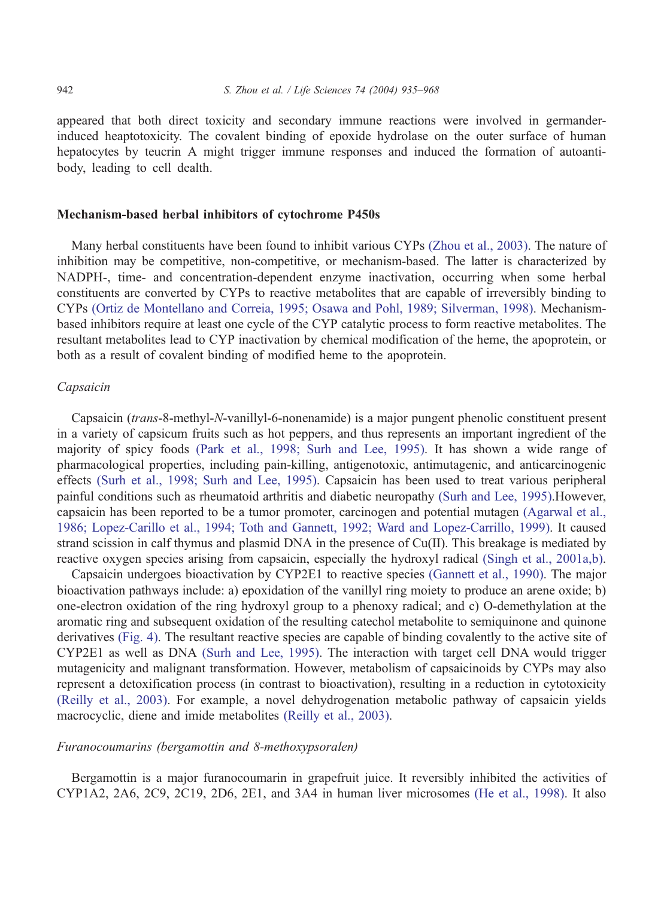appeared that both direct toxicity and secondary immune reactions were involved in germanderinduced heaptotoxicity. The covalent binding of epoxide hydrolase on the outer surface of human hepatocytes by teucrin A might trigger immune responses and induced the formation of autoantibody, leading to cell dealth.

## Mechanism-based herbal inhibitors of cytochrome P450s

Many herbal constituents have been found to inhibit various CYPs [\(Zhou et al., 2003\).](#page-33-0) The nature of inhibition may be competitive, non-competitive, or mechanism-based. The latter is characterized by NADPH-, time- and concentration-dependent enzyme inactivation, occurring when some herbal constituents are converted by CYPs to reactive metabolites that are capable of irreversibly binding to CYPs [\(Ortiz de Montellano and Correia, 1995; Osawa and Pohl, 1989; Silverman, 1998\).](#page-29-0) Mechanismbased inhibitors require at least one cycle of the CYP catalytic process to form reactive metabolites. The resultant metabolites lead to CYP inactivation by chemical modification of the heme, the apoprotein, or both as a result of covalent binding of modified heme to the apoprotein.

#### Capsaicin

Capsaicin (trans-8-methyl-N-vanillyl-6-nonenamide) is a major pungent phenolic constituent present in a variety of capsicum fruits such as hot peppers, and thus represents an important ingredient of the majority of spicy foods [\(Park et al., 1998; Surh and Lee, 1995\).](#page-29-0) It has shown a wide range of pharmacological properties, including pain-killing, antigenotoxic, antimutagenic, and anticarcinogenic effects [\(Surh et al., 1998; Surh and Lee, 1995\).](#page-31-0) Capsaicin has been used to treat various peripheral painful conditions such as rheumatoid arthritis and diabetic neuropathy [\(Surh and Lee, 1995\).](#page-31-0)However, capsaicin has been reported to be a tumor promoter, carcinogen and potential mutagen [\(Agarwal et al.,](#page-21-0) 1986; Lopez-Carillo et al., 1994; Toth and Gannett, 1992; Ward and Lopez-Carrillo, 1999). It caused strand scission in calf thymus and plasmid DNA in the presence of Cu(II). This breakage is mediated by reactive oxygen species arising from capsaicin, especially the hydroxyl radical [\(Singh et al., 2001a,b\).](#page-31-0)

Capsaicin undergoes bioactivation by CYP2E1 to reactive species [\(Gannett et al., 1990\).](#page-24-0) The major bioactivation pathways include: a) epoxidation of the vanillyl ring moiety to produce an arene oxide; b) one-electron oxidation of the ring hydroxyl group to a phenoxy radical; and c) O-demethylation at the aromatic ring and subsequent oxidation of the resulting catechol metabolite to semiquinone and quinone derivatives [\(Fig. 4\).](#page-8-0) The resultant reactive species are capable of binding covalently to the active site of CYP2E1 as well as DNA [\(Surh and Lee, 1995\).](#page-31-0) The interaction with target cell DNA would trigger mutagenicity and malignant transformation. However, metabolism of capsaicinoids by CYPs may also represent a detoxification process (in contrast to bioactivation), resulting in a reduction in cytotoxicity [\(Reilly et al., 2003\).](#page-30-0) For example, a novel dehydrogenation metabolic pathway of capsaicin yields macrocyclic, diene and imide metabolites [\(Reilly et al., 2003\).](#page-30-0)

## Furanocoumarins (bergamottin and 8-methoxypsoralen)

Bergamottin is a major furanocoumarin in grapefruit juice. It reversibly inhibited the activities of CYP1A2, 2A6, 2C9, 2C19, 2D6, 2E1, and 3A4 in human liver microsomes [\(He et al., 1998\).](#page-25-0) It also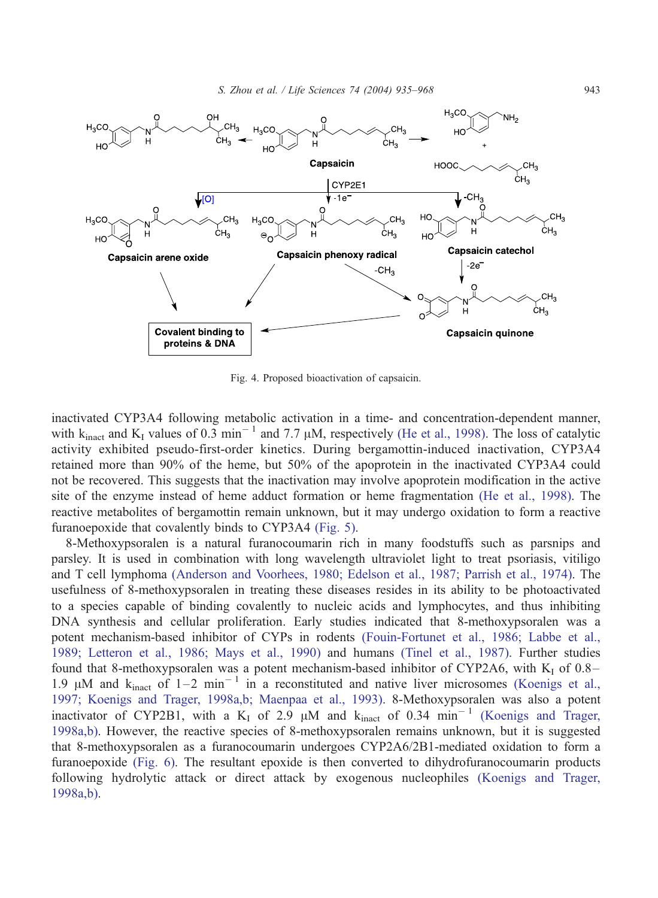<span id="page-8-0"></span>

Fig. 4. Proposed bioactivation of capsaicin.

inactivated CYP3A4 following metabolic activation in a time- and concentration-dependent manner, with  $k_{\text{inact}}$  and  $K_I$  values of 0.3 min<sup>-1</sup> and 7.7  $\mu$ M, respectively [\(He et al., 1998\).](#page-25-0) The loss of catalytic activity exhibited pseudo-first-order kinetics. During bergamottin-induced inactivation, CYP3A4 retained more than 90% of the heme, but 50% of the apoprotein in the inactivated CYP3A4 could not be recovered. This suggests that the inactivation may involve apoprotein modification in the active site of the enzyme instead of heme adduct formation or heme fragmentation [\(He et al., 1998\).](#page-25-0) The reactive metabolites of bergamottin remain unknown, but it may undergo oxidation to form a reactive furanoepoxide that covalently binds to CYP3A4 [\(Fig. 5\).](#page-9-0)

8-Methoxypsoralen is a natural furanocoumarin rich in many foodstuffs such as parsnips and parsley. It is used in combination with long wavelength ultraviolet light to treat psoriasis, vitiligo and T cell lymphoma [\(Anderson and Voorhees, 1980; Edelson et al., 1987; Parrish et al., 1974\).](#page-21-0) The usefulness of 8-methoxypsoralen in treating these diseases resides in its ability to be photoactivated to a species capable of binding covalently to nucleic acids and lymphocytes, and thus inhibiting DNA synthesis and cellular proliferation. Early studies indicated that 8-methoxypsoralen was a potent mechanism-based inhibitor of CYPs in rodents [\(Fouin-Fortunet et al., 1986; Labbe et al.,](#page-24-0) 1989; Letteron et al., 1986; Mays et al., 1990) and humans [\(Tinel et al., 1987\).](#page-32-0) Further studies found that 8-methoxypsoralen was a potent mechanism-based inhibitor of CYP2A6, with  $K_I$  of 0.8– 1.9  $\mu$ M and  $k_{\text{inact}}$  of 1–2 min<sup>-1</sup> in a reconstituted and native liver microsomes [\(Koenigs et al.,](#page-26-0) 1997; Koenigs and Trager, 1998a,b; Maenpaa et al., 1993). 8-Methoxypsoralen was also a potent inactivator of CYP2B1, with a K<sub>I</sub> of 2.9  $\mu$ M and k<sub>inact</sub> of 0.34 min<sup>-1</sup> [\(Koenigs and Trager,](#page-26-0) 1998a,b). However, the reactive species of 8-methoxypsoralen remains unknown, but it is suggested that 8-methoxypsoralen as a furanocoumarin undergoes CYP2A6/2B1-mediated oxidation to form a furanoepoxide [\(Fig. 6\).](#page-10-0) The resultant epoxide is then converted to dihydrofuranocoumarin products following hydrolytic attack or direct attack by exogenous nucleophiles [\(Koenigs and Trager,](#page-26-0) 1998a,b).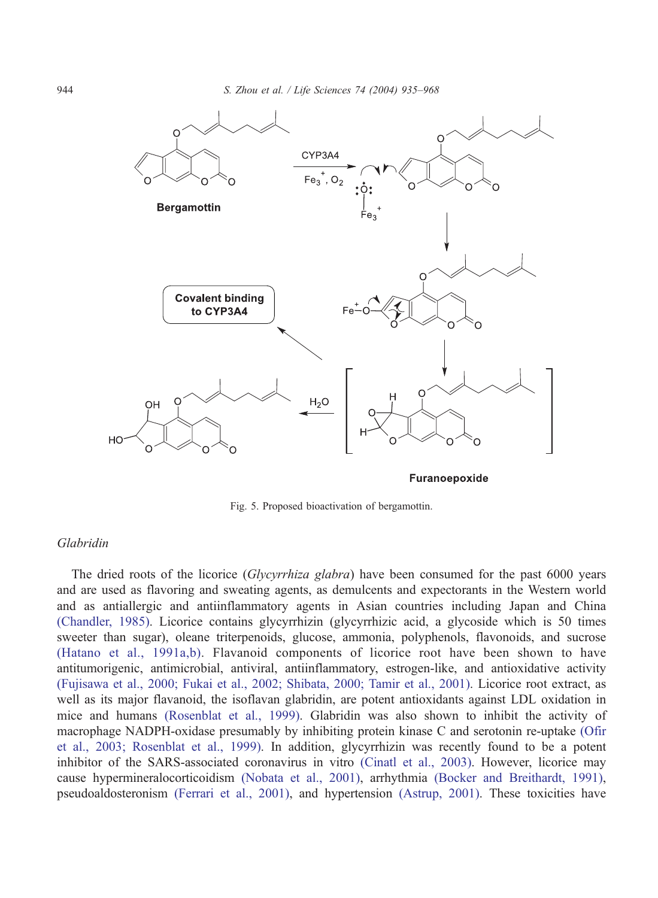

Fig. 5. Proposed bioactivation of bergamottin.

# Glabridin

The dried roots of the licorice (Glycyrrhiza glabra) have been consumed for the past 6000 years and are used as flavoring and sweating agents, as demulcents and expectorants in the Western world and as antiallergic and antiinflammatory agents in Asian countries including Japan and China [\(Chandler, 1985\).](#page-23-0) Licorice contains glycyrrhizin (glycyrrhizic acid, a glycoside which is 50 times sweeter than sugar), oleane triterpenoids, glucose, ammonia, polyphenols, flavonoids, and sucrose [\(Hatano et al., 1991a,b\).](#page-25-0) Flavanoid components of licorice root have been shown to have antitumorigenic, antimicrobial, antiviral, antiinflammatory, estrogen-like, and antioxidative activity [\(Fujisawa et al., 2000; Fukai et al., 2002; Shibata, 2000; Tamir et al., 2001\).](#page-24-0) Licorice root extract, as well as its major flavanoid, the isoflavan glabridin, are potent antioxidants against LDL oxidation in mice and humans [\(Rosenblat et al., 1999\).](#page-30-0) Glabridin was also shown to inhibit the activity of macrophage NADPH-oxidase presumably by inhibiting protein kinase C and serotonin re-uptake [\(Ofir](#page-29-0) et al., 2003; Rosenblat et al., 1999). In addition, glycyrrhizin was recently found to be a potent inhibitor of the SARS-associated coronavirus in vitro [\(Cinatl et al., 2003\).](#page-23-0) However, licorice may cause hypermineralocorticoidism [\(Nobata et al., 2001\),](#page-29-0) arrhythmia [\(Bocker and Breithardt, 1991\),](#page-22-0) pseudoaldosteronism [\(Ferrari et al., 2001\),](#page-24-0) and hypertension [\(Astrup, 2001\).](#page-22-0) These toxicities have

<span id="page-9-0"></span>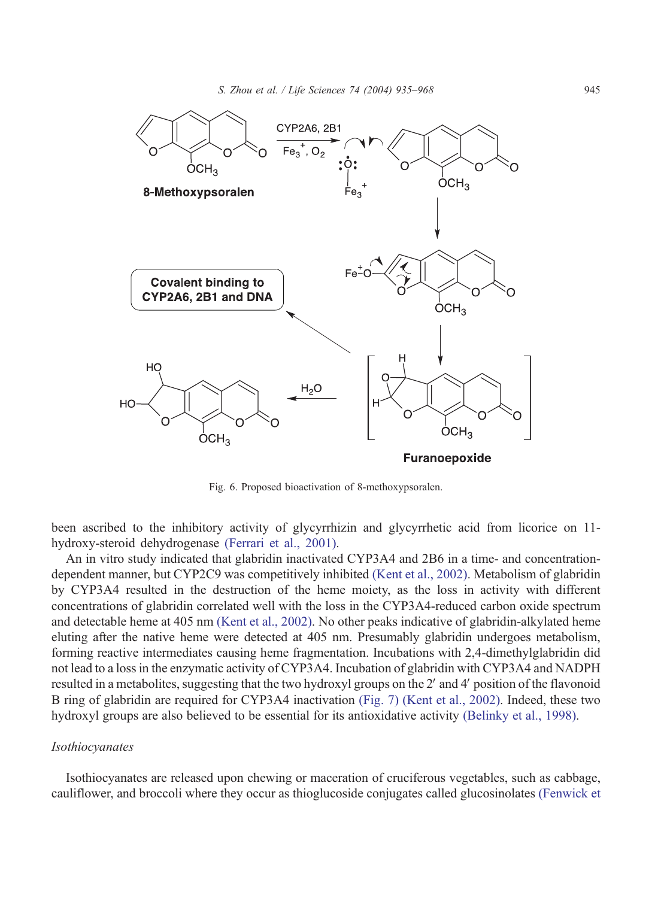<span id="page-10-0"></span>

Fig. 6. Proposed bioactivation of 8-methoxypsoralen.

been ascribed to the inhibitory activity of glycyrrhizin and glycyrrhetic acid from licorice on 11 hydroxy-steroid dehydrogenase [\(Ferrari et al., 2001\).](#page-24-0)

An in vitro study indicated that glabridin inactivated CYP3A4 and 2B6 in a time- and concentrationdependent manner, but CYP2C9 was competitively inhibited [\(Kent et al., 2002\).](#page-26-0) Metabolism of glabridin by CYP3A4 resulted in the destruction of the heme moiety, as the loss in activity with different concentrations of glabridin correlated well with the loss in the CYP3A4-reduced carbon oxide spectrum and detectable heme at 405 nm [\(Kent et al., 2002\).](#page-26-0) No other peaks indicative of glabridin-alkylated heme eluting after the native heme were detected at 405 nm. Presumably glabridin undergoes metabolism, forming reactive intermediates causing heme fragmentation. Incubations with 2,4-dimethylglabridin did not lead to a loss in the enzymatic activity of CYP3A4. Incubation of glabridin with CYP3A4 and NADPH resulted in a metabolites, suggesting that the two hydroxyl groups on the 2' and 4' position of the flavonoid B ring of glabridin are required for CYP3A4 inactivation [\(Fig. 7\)](#page-11-0) [\(Kent et al., 2002\).](#page-26-0) Indeed, these two hydroxyl groups are also believed to be essential for its antioxidative activity [\(Belinky et al., 1998\).](#page-22-0)

#### Isothiocyanates

Isothiocyanates are released upon chewing or maceration of cruciferous vegetables, such as cabbage, cauliflower, and broccoli where they occur as thioglucoside conjugates called glucosinolates [\(Fenwick et](#page-24-0)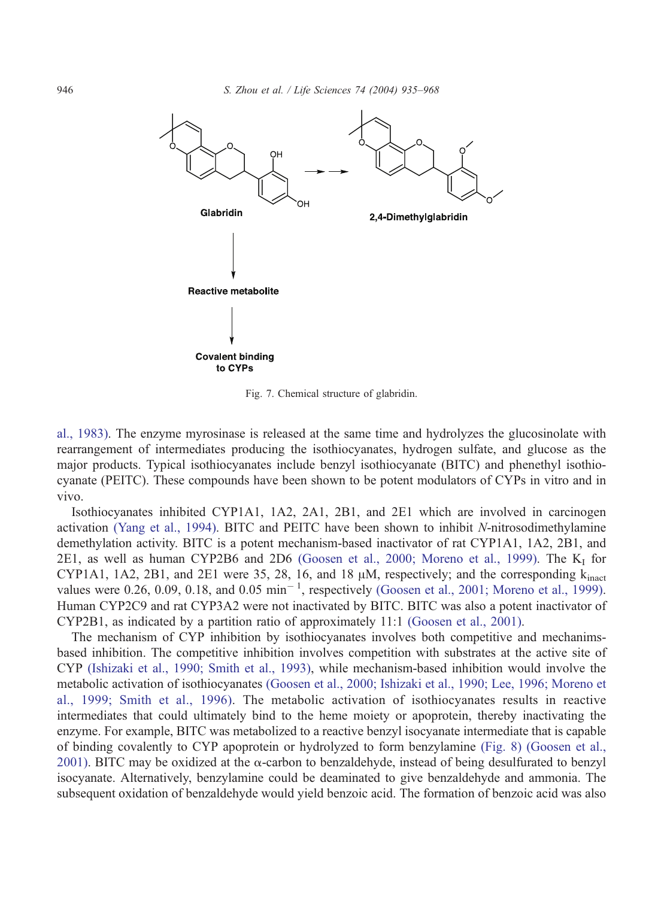<span id="page-11-0"></span>

Fig. 7. Chemical structure of glabridin.

al., 1983). The enzyme myrosinase is released at the same time and hydrolyzes the glucosinolate with rearrangement of intermediates producing the isothiocyanates, hydrogen sulfate, and glucose as the major products. Typical isothiocyanates include benzyl isothiocyanate (BITC) and phenethyl isothiocyanate (PEITC). These compounds have been shown to be potent modulators of CYPs in vitro and in vivo.

Isothiocyanates inhibited CYP1A1, 1A2, 2A1, 2B1, and 2E1 which are involved in carcinogen activation [\(Yang et al., 1994\).](#page-33-0) BITC and PEITC have been shown to inhibit N-nitrosodimethylamine demethylation activity. BITC is a potent mechanism-based inactivator of rat CYP1A1, 1A2, 2B1, and 2E1, as well as human CYP2B6 and 2D6 [\(Goosen et al., 2000; Moreno et al., 1999\).](#page-25-0) The  $K_I$  for CYP1A1, 1A2, 2B1, and 2E1 were 35, 28, 16, and 18  $\mu$ M, respectively; and the corresponding  $k_{\text{inact}}$ values were 0.26, 0.09, 0.18, and 0.05  $\text{min}^{-1}$ , respectively [\(Goosen et al., 2001; Moreno et al., 1999\).](#page-25-0) Human CYP2C9 and rat CYP3A2 were not inactivated by BITC. BITC was also a potent inactivator of CYP2B1, as indicated by a partition ratio of approximately 11:1 [\(Goosen et al., 2001\).](#page-25-0)

The mechanism of CYP inhibition by isothiocyanates involves both competitive and mechanimsbased inhibition. The competitive inhibition involves competition with substrates at the active site of CYP [\(Ishizaki et al., 1990; Smith et al., 1993\),](#page-26-0) while mechanism-based inhibition would involve the metabolic activation of isothiocyanates [\(Goosen et al., 2000; Ishizaki et al., 1990; Lee, 1996; Moreno et](#page-25-0) al., 1999; Smith et al., 1996). The metabolic activation of isothiocyanates results in reactive intermediates that could ultimately bind to the heme moiety or apoprotein, thereby inactivating the enzyme. For example, BITC was metabolized to a reactive benzyl isocyanate intermediate that is capable of binding covalently to CYP apoprotein or hydrolyzed to form benzylamine [\(Fig. 8\)](#page-12-0) [\(Goosen et al.,](#page-25-0) 2001). BITC may be oxidized at the  $\alpha$ -carbon to benzaldehyde, instead of being desulfurated to benzyl isocyanate. Alternatively, benzylamine could be deaminated to give benzaldehyde and ammonia. The subsequent oxidation of benzaldehyde would yield benzoic acid. The formation of benzoic acid was also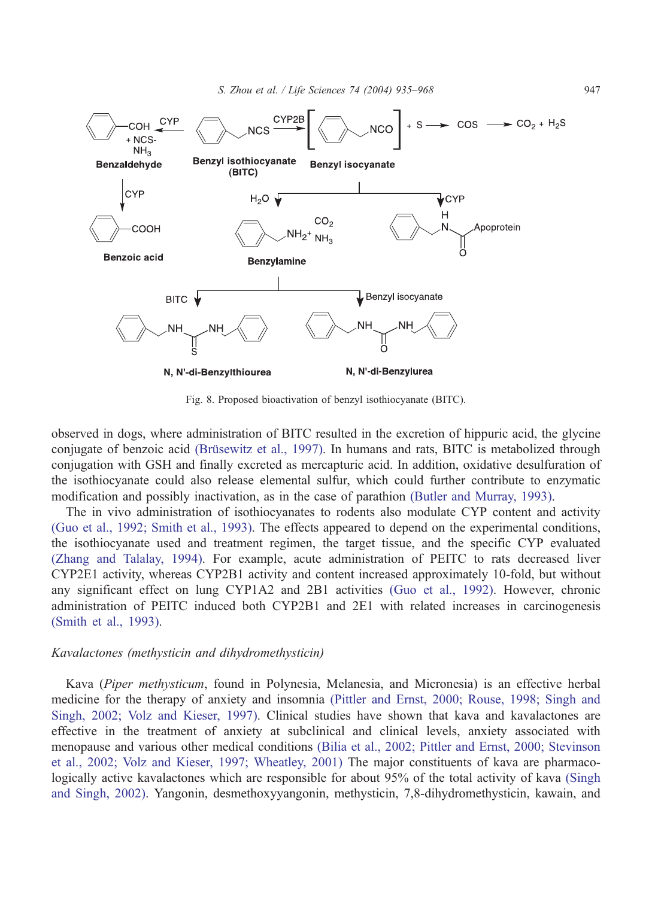<span id="page-12-0"></span>

Fig. 8. Proposed bioactivation of benzyl isothiocyanate (BITC).

observed in dogs, where administration of BITC resulted in the excretion of hippuric acid, the glycine conjugate of benzoic acid (Brüsewitz et al., 1997). In humans and rats, BITC is metabolized through conjugation with GSH and finally excreted as mercapturic acid. In addition, oxidative desulfuration of the isothiocyanate could also release elemental sulfur, which could further contribute to enzymatic modification and possibly inactivation, as in the case of parathion [\(Butler and Murray, 1993\).](#page-22-0)

The in vivo administration of isothiocyanates to rodents also modulate CYP content and activity [\(Guo et al., 1992; Smith et al., 1993\).](#page-25-0) The effects appeared to depend on the experimental conditions, the isothiocyanate used and treatment regimen, the target tissue, and the specific CYP evaluated [\(Zhang and Talalay, 1994\).](#page-33-0) For example, acute administration of PEITC to rats decreased liver CYP2E1 activity, whereas CYP2B1 activity and content increased approximately 10-fold, but without any significant effect on lung CYP1A2 and 2B1 activities [\(Guo et al., 1992\).](#page-25-0) However, chronic administration of PEITC induced both CYP2B1 and 2E1 with related increases in carcinogenesis [\(Smith et al., 1993\).](#page-31-0)

#### Kavalactones (methysticin and dihydromethysticin)

Kava (Piper methysticum, found in Polynesia, Melanesia, and Micronesia) is an effective herbal medicine for the therapy of anxiety and insomnia [\(Pittler and Ernst, 2000; Rouse, 1998; Singh and](#page-29-0) Singh, 2002; Volz and Kieser, 1997). Clinical studies have shown that kava and kavalactones are effective in the treatment of anxiety at subclinical and clinical levels, anxiety associated with menopause and various other medical conditions [\(Bilia et al., 2002; Pittler and Ernst, 2000; Stevinson](#page-22-0) et al., 2002; Volz and Kieser, 1997; Wheatley, 2001) The major constituents of kava are pharmacologically active kavalactones which are responsible for about 95% of the total activity of kava [\(Singh](#page-31-0) and Singh, 2002). Yangonin, desmethoxyyangonin, methysticin, 7,8-dihydromethysticin, kawain, and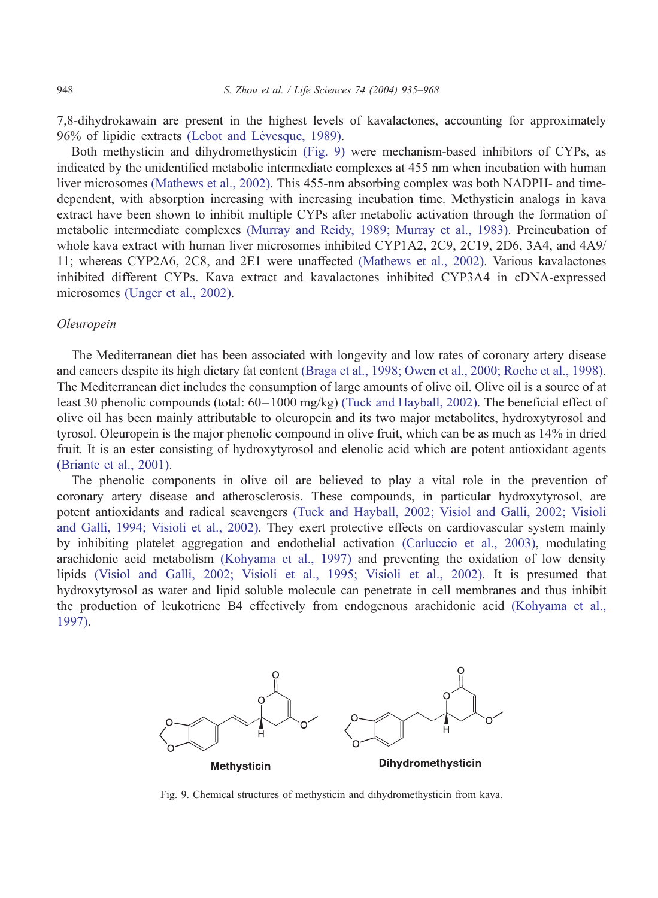7,8-dihydrokawain are present in the highest levels of kavalactones, accounting for approximately 96% of lipidic extracts (Lebot and Lévesque, 1989).

Both methysticin and dihydromethysticin (Fig. 9) were mechanism-based inhibitors of CYPs, as indicated by the unidentified metabolic intermediate complexes at 455 nm when incubation with human liver microsomes [\(Mathews et al., 2002\).](#page-28-0) This 455-nm absorbing complex was both NADPH- and timedependent, with absorption increasing with increasing incubation time. Methysticin analogs in kava extract have been shown to inhibit multiple CYPs after metabolic activation through the formation of metabolic intermediate complexes [\(Murray and Reidy, 1989; Murray et al., 1983\).](#page-28-0) Preincubation of whole kava extract with human liver microsomes inhibited CYP1A2, 2C9, 2C19, 2D6, 3A4, and 4A9/ 11; whereas CYP2A6, 2C8, and 2E1 were unaffected [\(Mathews et al., 2002\).](#page-28-0) Various kavalactones inhibited different CYPs. Kava extract and kavalactones inhibited CYP3A4 in cDNA-expressed microsomes [\(Unger et al., 2002\).](#page-32-0)

# Oleuropein

The Mediterranean diet has been associated with longevity and low rates of coronary artery disease and cancers despite its high dietary fat content [\(Braga et al., 1998; Owen et al., 2000; Roche et al., 1998\).](#page-22-0) The Mediterranean diet includes the consumption of large amounts of olive oil. Olive oil is a source of at least 30 phenolic compounds (total: 60–1000 mg/kg) [\(Tuck and Hayball, 2002\).](#page-32-0) The beneficial effect of olive oil has been mainly attributable to oleuropein and its two major metabolites, hydroxytyrosol and tyrosol. Oleuropein is the major phenolic compound in olive fruit, which can be as much as 14% in dried fruit. It is an ester consisting of hydroxytyrosol and elenolic acid which are potent antioxidant agents [\(Briante et al., 2001\).](#page-22-0)

The phenolic components in olive oil are believed to play a vital role in the prevention of coronary artery disease and atherosclerosis. These compounds, in particular hydroxytyrosol, are potent antioxidants and radical scavengers [\(Tuck and Hayball, 2002; Visiol and Galli, 2002; Visioli](#page-32-0) and Galli, 1994; Visioli et al., 2002). They exert protective effects on cardiovascular system mainly by inhibiting platelet aggregation and endothelial activation [\(Carluccio et al., 2003\),](#page-22-0) modulating arachidonic acid metabolism [\(Kohyama et al., 1997\)](#page-26-0) and preventing the oxidation of low density lipids [\(Visiol and Galli, 2002; Visioli et al., 1995; Visioli et al., 2002\).](#page-32-0) It is presumed that hydroxytyrosol as water and lipid soluble molecule can penetrate in cell membranes and thus inhibit the production of leukotriene B4 effectively from endogenous arachidonic acid [\(Kohyama et al.,](#page-26-0) 1997).



Fig. 9. Chemical structures of methysticin and dihydromethysticin from kava.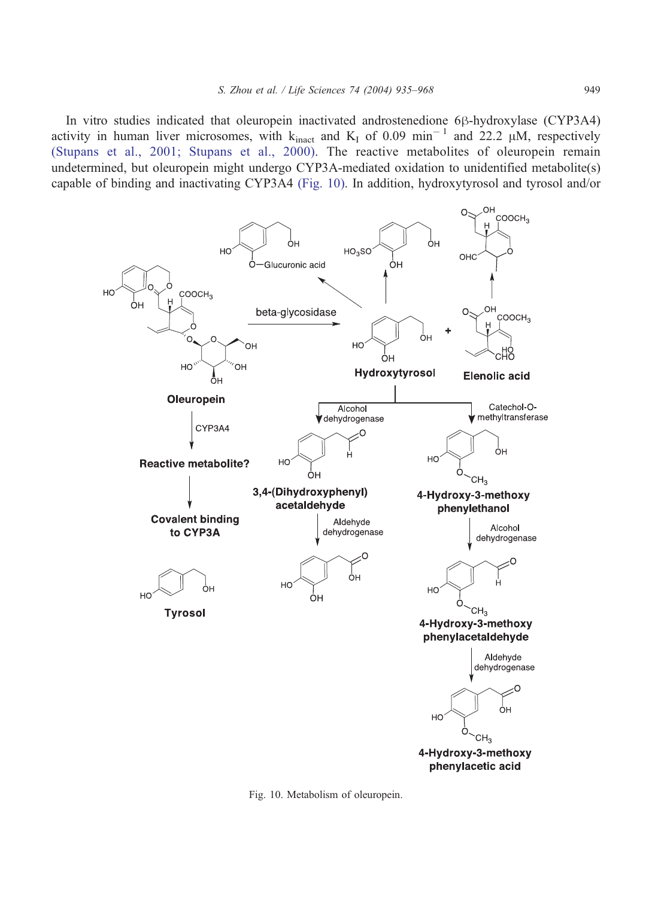<span id="page-14-0"></span>In vitro studies indicated that oleuropein inactivated androstenedione 6 $\beta$ -hydroxylase (CYP3A4) activity in human liver microsomes, with  $k_{\text{inact}}$  and  $K_{\text{I}}$  of 0.09 min<sup>-1</sup> and 22.2  $\mu$ M, respectively [\(Stupans et al., 2001; Stupans et al., 2000\).](#page-31-0) The reactive metabolites of oleuropein remain undetermined, but oleuropein might undergo CYP3A-mediated oxidation to unidentified metabolite(s) capable of binding and inactivating CYP3A4 (Fig. 10). In addition, hydroxytyrosol and tyrosol and/or



Fig. 10. Metabolism of oleuropein.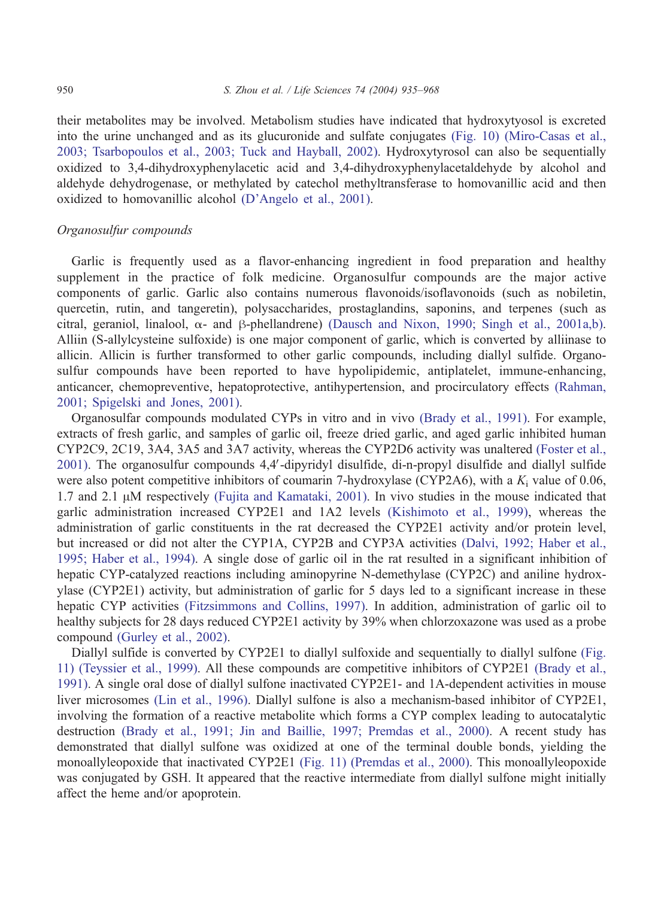their metabolites may be involved. Metabolism studies have indicated that hydroxytyosol is excreted into the urine unchanged and as its glucuronide and sulfate conjugates [\(Fig. 10\)](#page-14-0) [\(Miro-Casas et al.,](#page-28-0) 2003; Tsarbopoulos et al., 2003; Tuck and Hayball, 2002). Hydroxytyrosol can also be sequentially oxidized to 3,4-dihydroxyphenylacetic acid and 3,4-dihydroxyphenylacetaldehyde by alcohol and aldehyde dehydrogenase, or methylated by catechol methyltransferase to homovanillic acid and then oxidized to homovanillic alcohol [\(D'Angelo et al., 2001\).](#page-23-0)

# Organosulfur compounds

Garlic is frequently used as a flavor-enhancing ingredient in food preparation and healthy supplement in the practice of folk medicine. Organosulfur compounds are the major active components of garlic. Garlic also contains numerous flavonoids/isoflavonoids (such as nobiletin, quercetin, rutin, and tangeretin), polysaccharides, prostaglandins, saponins, and terpenes (such as citral, geraniol, linalool,  $\alpha$ - and  $\beta$ -phellandrene) [\(Dausch and Nixon, 1990; Singh et al., 2001a,b\).](#page-23-0) Alliin (S-allylcysteine sulfoxide) is one major component of garlic, which is converted by alliinase to allicin. Allicin is further transformed to other garlic compounds, including diallyl sulfide. Organosulfur compounds have been reported to have hypolipidemic, antiplatelet, immune-enhancing, anticancer, chemopreventive, hepatoprotective, antihypertension, and procirculatory effects [\(Rahman,](#page-30-0) 2001; Spigelski and Jones, 2001).

Organosulfar compounds modulated CYPs in vitro and in vivo [\(Brady et al., 1991\).](#page-22-0) For example, extracts of fresh garlic, and samples of garlic oil, freeze dried garlic, and aged garlic inhibited human CYP2C9, 2C19, 3A4, 3A5 and 3A7 activity, whereas the CYP2D6 activity was unaltered [\(Foster et al.,](#page-24-0) 2001). The organosulfur compounds 4,4'-dipyridyl disulfide, di-n-propyl disulfide and diallyl sulfide were also potent competitive inhibitors of coumarin 7-hydroxylase (CYP2A6), with a  $K_i$  value of 0.06, 1.7 and 2.1  $\mu$ M respectively [\(Fujita and Kamataki, 2001\).](#page-24-0) In vivo studies in the mouse indicated that garlic administration increased CYP2E1 and 1A2 levels [\(Kishimoto et al., 1999\),](#page-26-0) whereas the administration of garlic constituents in the rat decreased the CYP2E1 activity and/or protein level, but increased or did not alter the CYP1A, CYP2B and CYP3A activities [\(Dalvi, 1992; Haber et al.,](#page-23-0) 1995; Haber et al., 1994). A single dose of garlic oil in the rat resulted in a significant inhibition of hepatic CYP-catalyzed reactions including aminopyrine N-demethylase (CYP2C) and aniline hydroxylase (CYP2E1) activity, but administration of garlic for 5 days led to a significant increase in these hepatic CYP activities [\(Fitzsimmons and Collins, 1997\).](#page-24-0) In addition, administration of garlic oil to healthy subjects for 28 days reduced CYP2E1 activity by 39% when chlorzoxazone was used as a probe compound [\(Gurley et al., 2002\).](#page-25-0)

Diallyl sulfide is converted by CYP2E1 to diallyl sulfoxide and sequentially to diallyl sulfone [\(Fig.](#page-16-0) 11) [\(Teyssier et al., 1999\).](#page-32-0) All these compounds are competitive inhibitors of CYP2E1 [\(Brady et al.,](#page-22-0) 1991). A single oral dose of diallyl sulfone inactivated CYP2E1- and 1A-dependent activities in mouse liver microsomes [\(Lin et al., 1996\).](#page-27-0) Diallyl sulfone is also a mechanism-based inhibitor of CYP2E1, involving the formation of a reactive metabolite which forms a CYP complex leading to autocatalytic destruction [\(Brady et al., 1991; Jin and Baillie, 1997; Premdas et al., 2000\).](#page-22-0) A recent study has demonstrated that diallyl sulfone was oxidized at one of the terminal double bonds, yielding the monoallyleopoxide that inactivated CYP2E1 [\(Fig. 11\)](#page-16-0) [\(Premdas et al., 2000\).](#page-30-0) This monoallyleopoxide was conjugated by GSH. It appeared that the reactive intermediate from diallyl sulfone might initially affect the heme and/or apoprotein.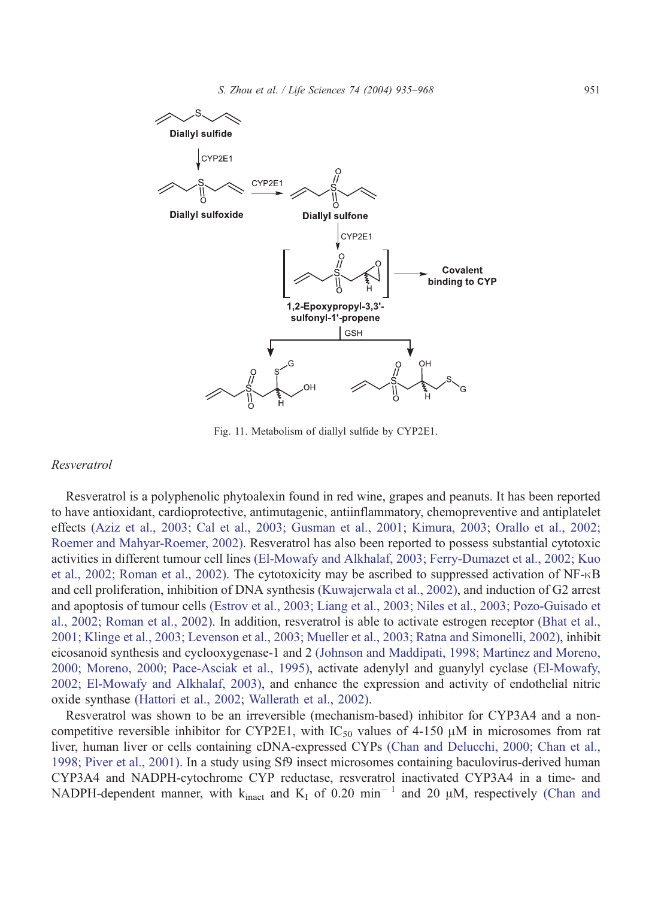<span id="page-16-0"></span>

Fig. 11. Metabolism of diallyl sulfide by CYP2E1.

# Resveratrol

Resveratrol is a polyphenolic phytoalexin found in red wine, grapes and peanuts. It has been reported to have antioxidant, cardioprotective, antimutagenic, antiinflammatory, chemopreventive and antiplatelet effects [\(Aziz et al., 2003; Cal et al., 2003; Gusman et al., 2001; Kimura, 2003; Orallo et al., 2002;](#page-22-0) Roemer and Mahyar-Roemer, 2002). Resveratrol has also been reported to possess substantial cytotoxic activities in different tumour cell lines [\(El-Mowafy and Alkhalaf, 2003; Ferry-Dumazet et al., 2002; Kuo](#page-23-0) et al., 2002; Roman et al., 2002). The cytotoxicity may be ascribed to suppressed activation of NF- $\kappa$ B and cell proliferation, inhibition of DNA synthesis [\(Kuwajerwala et al., 2002\),](#page-27-0) and induction of G2 arrest and apoptosis of tumour cells [\(Estrov et al., 2003; Liang et al., 2003; Niles et al., 2003; Pozo-Guisado et](#page-23-0) al., 2002; Roman et al., 2002). In addition, resveratrol is able to activate estrogen receptor [\(Bhat et al.,](#page-22-0) 2001; Klinge et al., 2003; Levenson et al., 2003; Mueller et al., 2003; Ratna and Simonelli, 2002), inhibit eicosanoid synthesis and cyclooxygenase-1 and 2 [\(Johnson and Maddipati, 1998; Martinez and Moreno,](#page-26-0) 2000; Moreno, 2000; Pace-Asciak et al., 1995), activate adenylyl and guanylyl cyclase [\(El-Mowafy,](#page-23-0) 2002; El-Mowafy and Alkhalaf, 2003), and enhance the expression and activity of endothelial nitric oxide synthase [\(Hattori et al., 2002; Wallerath et al., 2002\).](#page-25-0)

Resveratrol was shown to be an irreversible (mechanism-based) inhibitor for CYP3A4 and a noncompetitive reversible inhibitor for CYP2E1, with  $IC_{50}$  values of 4-150  $\mu$ M in microsomes from rat liver, human liver or cells containing cDNA-expressed CYPs [\(Chan and Delucchi, 2000; Chan et al.,](#page-23-0) 1998; Piver et al., 2001). In a study using Sf9 insect microsomes containing baculovirus-derived human CYP3A4 and NADPH-cytochrome CYP reductase, resveratrol inactivated CYP3A4 in a time- and NADPH-dependent manner, with  $k_{\text{inact}}$  and  $K_I$  of 0.20 min<sup>-1</sup> and 20  $\mu$ M, respectively [\(Chan and](#page-23-0)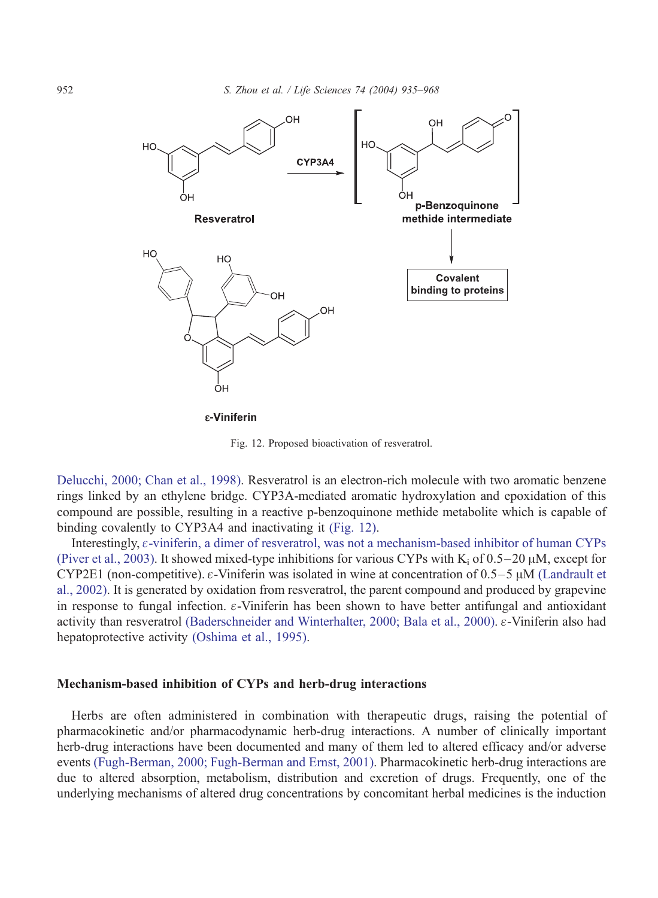

ε-Viniferin

Fig. 12. Proposed bioactivation of resveratrol.

Delucchi, 2000; Chan et al., 1998). Resveratrol is an electron-rich molecule with two aromatic benzene rings linked by an ethylene bridge. CYP3A-mediated aromatic hydroxylation and epoxidation of this compound are possible, resulting in a reactive p-benzoquinone methide metabolite which is capable of binding covalently to CYP3A4 and inactivating it (Fig. 12).

Interestingly,  $\varepsilon$ -viniferin, a dimer of resveratrol, was not a mechanism-based inhibitor of human CYPs [\(Piver et al., 2003\).](#page-29-0) It showed mixed-type inhibitions for various CYPs with  $K_i$  of 0.5–20  $\mu$ M, except for CYP2E1 (non-competitive).  $\varepsilon$ -Viniferin was isolated in wine at concentration of 0.5–5  $\mu$ M [\(Landrault et](#page-27-0) al., 2002). It is generated by oxidation from resveratrol, the parent compound and produced by grapevine in response to fungal infection.  $\varepsilon$ -Viniferin has been shown to have better antifungal and antioxidant activity than resveratrol [\(Baderschneider and Winterhalter, 2000; Bala et al., 2000\).](#page-22-0)  $\varepsilon$ -Viniferin also had hepatoprotective activity [\(Oshima et al., 1995\).](#page-29-0)

## Mechanism-based inhibition of CYPs and herb-drug interactions

Herbs are often administered in combination with therapeutic drugs, raising the potential of pharmacokinetic and/or pharmacodynamic herb-drug interactions. A number of clinically important herb-drug interactions have been documented and many of them led to altered efficacy and/or adverse events [\(Fugh-Berman, 2000; Fugh-Berman and Ernst, 2001\).](#page-24-0) Pharmacokinetic herb-drug interactions are due to altered absorption, metabolism, distribution and excretion of drugs. Frequently, one of the underlying mechanisms of altered drug concentrations by concomitant herbal medicines is the induction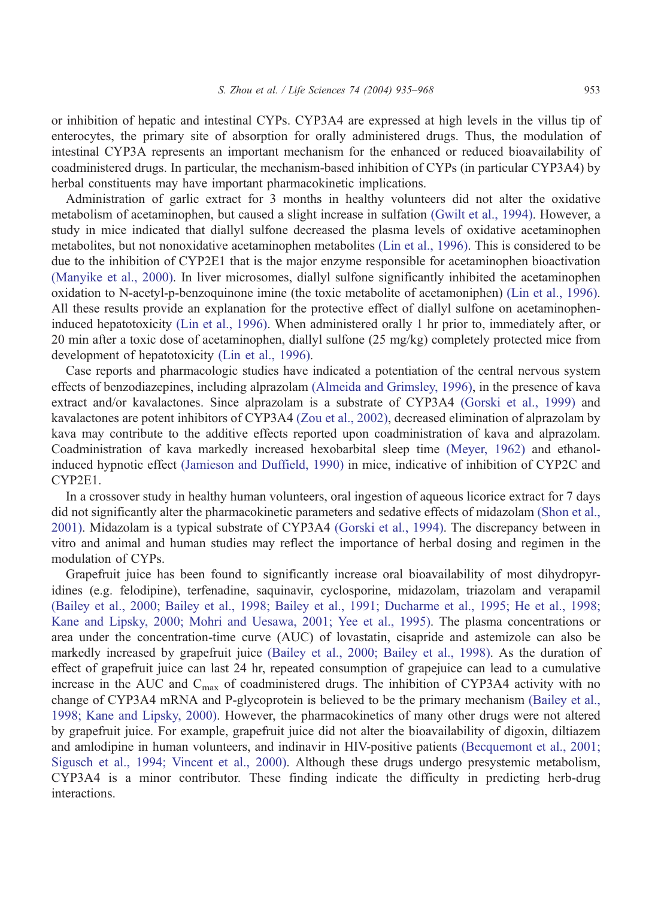or inhibition of hepatic and intestinal CYPs. CYP3A4 are expressed at high levels in the villus tip of enterocytes, the primary site of absorption for orally administered drugs. Thus, the modulation of intestinal CYP3A represents an important mechanism for the enhanced or reduced bioavailability of coadministered drugs. In particular, the mechanism-based inhibition of CYPs (in particular CYP3A4) by herbal constituents may have important pharmacokinetic implications.

Administration of garlic extract for 3 months in healthy volunteers did not alter the oxidative metabolism of acetaminophen, but caused a slight increase in sulfation [\(Gwilt et al., 1994\).](#page-25-0) However, a study in mice indicated that diallyl sulfone decreased the plasma levels of oxidative acetaminophen metabolites, but not nonoxidative acetaminophen metabolites [\(Lin et al., 1996\).](#page-27-0) This is considered to be due to the inhibition of CYP2E1 that is the major enzyme responsible for acetaminophen bioactivation [\(Manyike et al., 2000\).](#page-28-0) In liver microsomes, diallyl sulfone significantly inhibited the acetaminophen oxidation to N-acetyl-p-benzoquinone imine (the toxic metabolite of acetamoniphen) [\(Lin et al., 1996\).](#page-27-0) All these results provide an explanation for the protective effect of diallyl sulfone on acetaminopheninduced hepatotoxicity [\(Lin et al., 1996\).](#page-27-0) When administered orally 1 hr prior to, immediately after, or 20 min after a toxic dose of acetaminophen, diallyl sulfone (25 mg/kg) completely protected mice from development of hepatotoxicity [\(Lin et al., 1996\).](#page-27-0)

Case reports and pharmacologic studies have indicated a potentiation of the central nervous system effects of benzodiazepines, including alprazolam [\(Almeida and Grimsley, 1996\),](#page-21-0) in the presence of kava extract and/or kavalactones. Since alprazolam is a substrate of CYP3A4 [\(Gorski et al., 1999\)](#page-25-0) and kavalactones are potent inhibitors of CYP3A4 [\(Zou et al., 2002\),](#page-33-0) decreased elimination of alprazolam by kava may contribute to the additive effects reported upon coadministration of kava and alprazolam. Coadministration of kava markedly increased hexobarbital sleep time [\(Meyer, 1962\)](#page-28-0) and ethanolinduced hypnotic effect [\(Jamieson and Duffield, 1990\)](#page-26-0) in mice, indicative of inhibition of CYP2C and CYP2E1.

In a crossover study in healthy human volunteers, oral ingestion of aqueous licorice extract for 7 days did not significantly alter the pharmacokinetic parameters and sedative effects of midazolam [\(Shon et al.,](#page-31-0) 2001). Midazolam is a typical substrate of CYP3A4 [\(Gorski et al., 1994\).](#page-25-0) The discrepancy between in vitro and animal and human studies may reflect the importance of herbal dosing and regimen in the modulation of CYPs.

Grapefruit juice has been found to significantly increase oral bioavailability of most dihydropyridines (e.g. felodipine), terfenadine, saquinavir, cyclosporine, midazolam, triazolam and verapamil [\(Bailey et al., 2000; Bailey et al., 1998; Bailey et al., 1991; Ducharme et al., 1995; He et al., 1998;](#page-22-0) Kane and Lipsky, 2000; Mohri and Uesawa, 2001; Yee et al., 1995). The plasma concentrations or area under the concentration-time curve (AUC) of lovastatin, cisapride and astemizole can also be markedly increased by grapefruit juice [\(Bailey et al., 2000; Bailey et al., 1998\).](#page-22-0) As the duration of effect of grapefruit juice can last 24 hr, repeated consumption of grapejuice can lead to a cumulative increase in the AUC and  $C_{\text{max}}$  of coadministered drugs. The inhibition of CYP3A4 activity with no change of CYP3A4 mRNA and P-glycoprotein is believed to be the primary mechanism [\(Bailey et al.,](#page-22-0) 1998; Kane and Lipsky, 2000). However, the pharmacokinetics of many other drugs were not altered by grapefruit juice. For example, grapefruit juice did not alter the bioavailability of digoxin, diltiazem and amlodipine in human volunteers, and indinavir in HIV-positive patients [\(Becquemont et al., 2001;](#page-22-0) Sigusch et al., 1994; Vincent et al., 2000). Although these drugs undergo presystemic metabolism, CYP3A4 is a minor contributor. These finding indicate the difficulty in predicting herb-drug interactions.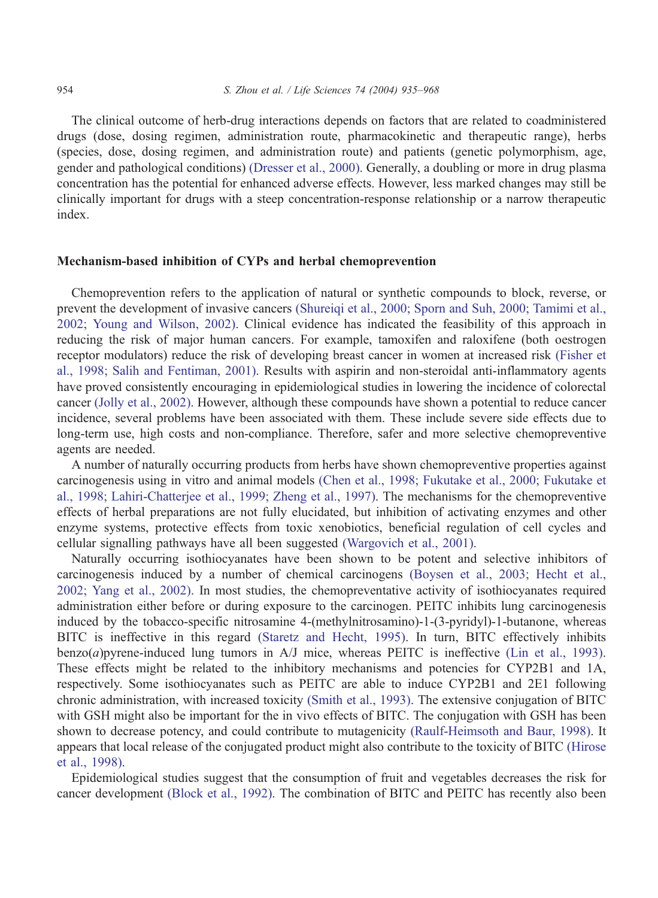The clinical outcome of herb-drug interactions depends on factors that are related to coadministered drugs (dose, dosing regimen, administration route, pharmacokinetic and therapeutic range), herbs (species, dose, dosing regimen, and administration route) and patients (genetic polymorphism, age, gender and pathological conditions) [\(Dresser et al., 2000\).](#page-23-0) Generally, a doubling or more in drug plasma concentration has the potential for enhanced adverse effects. However, less marked changes may still be clinically important for drugs with a steep concentration-response relationship or a narrow therapeutic index.

# Mechanism-based inhibition of CYPs and herbal chemoprevention

Chemoprevention refers to the application of natural or synthetic compounds to block, reverse, or prevent the development of invasive cancers [\(Shureiqi et al., 2000; Sporn and Suh, 2000; Tamimi et al.,](#page-31-0) 2002; Young and Wilson, 2002). Clinical evidence has indicated the feasibility of this approach in reducing the risk of major human cancers. For example, tamoxifen and raloxifene (both oestrogen receptor modulators) reduce the risk of developing breast cancer in women at increased risk [\(Fisher et](#page-24-0) al., 1998; Salih and Fentiman, 2001). Results with aspirin and non-steroidal anti-inflammatory agents have proved consistently encouraging in epidemiological studies in lowering the incidence of colorectal cancer [\(Jolly et al., 2002\).](#page-26-0) However, although these compounds have shown a potential to reduce cancer incidence, several problems have been associated with them. These include severe side effects due to long-term use, high costs and non-compliance. Therefore, safer and more selective chemopreventive agents are needed.

A number of naturally occurring products from herbs have shown chemopreventive properties against carcinogenesis using in vitro and animal models [\(Chen et al., 1998; Fukutake et al., 2000; Fukutake et](#page-23-0) al., 1998; Lahiri-Chatterjee et al., 1999; Zheng et al., 1997). The mechanisms for the chemopreventive effects of herbal preparations are not fully elucidated, but inhibition of activating enzymes and other enzyme systems, protective effects from toxic xenobiotics, beneficial regulation of cell cycles and cellular signalling pathways have all been suggested [\(Wargovich et al., 2001\).](#page-32-0)

Naturally occurring isothiocyanates have been shown to be potent and selective inhibitors of carcinogenesis induced by a number of chemical carcinogens [\(Boysen et al., 2003; Hecht et al.,](#page-22-0) 2002; Yang et al., 2002). In most studies, the chemopreventative activity of isothiocyanates required administration either before or during exposure to the carcinogen. PEITC inhibits lung carcinogenesis induced by the tobacco-specific nitrosamine 4-(methylnitrosamino)-1-(3-pyridyl)-1-butanone, whereas BITC is ineffective in this regard [\(Staretz and Hecht, 1995\).](#page-31-0) In turn, BITC effectively inhibits benzo(*a*)pyrene-induced lung tumors in A/J mice, whereas PEITC is ineffective [\(Lin et al., 1993\).](#page-27-0) These effects might be related to the inhibitory mechanisms and potencies for CYP2B1 and 1A, respectively. Some isothiocyanates such as PEITC are able to induce CYP2B1 and 2E1 following chronic administration, with increased toxicity [\(Smith et al., 1993\).](#page-31-0) The extensive conjugation of BITC with GSH might also be important for the in vivo effects of BITC. The conjugation with GSH has been shown to decrease potency, and could contribute to mutagenicity [\(Raulf-Heimsoth and Baur, 1998\).](#page-30-0) It appears that local release of the conjugated product might also contribute to the toxicity of BITC [\(Hirose](#page-26-0) et al., 1998).

Epidemiological studies suggest that the consumption of fruit and vegetables decreases the risk for cancer development [\(Block et al., 1992\).](#page-22-0) The combination of BITC and PEITC has recently also been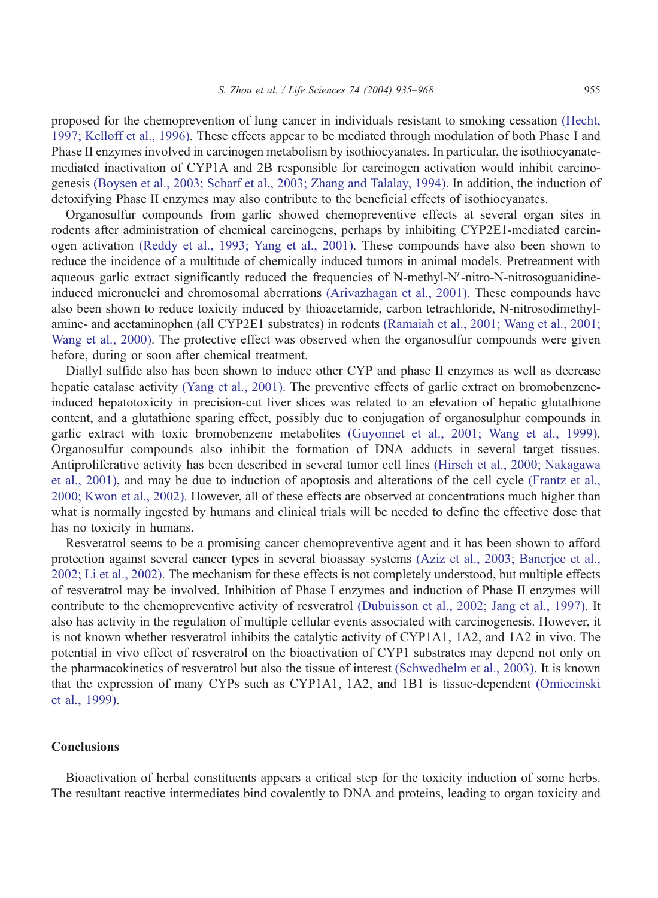proposed for the chemoprevention of lung cancer in individuals resistant to smoking cessation [\(Hecht,](#page-26-0) 1997; Kelloff et al., 1996). These effects appear to be mediated through modulation of both Phase I and Phase II enzymes involved in carcinogen metabolism by isothiocyanates. In particular, the isothiocyanatemediated inactivation of CYP1A and 2B responsible for carcinogen activation would inhibit carcinogenesis [\(Boysen et al., 2003; Scharf et al., 2003; Zhang and Talalay, 1994\).](#page-22-0) In addition, the induction of detoxifying Phase II enzymes may also contribute to the beneficial effects of isothiocyanates.

Organosulfur compounds from garlic showed chemopreventive effects at several organ sites in rodents after administration of chemical carcinogens, perhaps by inhibiting CYP2E1-mediated carcinogen activation [\(Reddy et al., 1993; Yang et al., 2001\).](#page-30-0) These compounds have also been shown to reduce the incidence of a multitude of chemically induced tumors in animal models. Pretreatment with aqueous garlic extract significantly reduced the frequencies of N-methyl-N'-nitro-N-nitrosoguanidineinduced micronuclei and chromosomal aberrations [\(Arivazhagan et al., 2001\).](#page-21-0) These compounds have also been shown to reduce toxicity induced by thioacetamide, carbon tetrachloride, N-nitrosodimethylamine- and acetaminophen (all CYP2E1 substrates) in rodents [\(Ramaiah et al., 2001; Wang et al., 2001;](#page-30-0) Wang et al., 2000). The protective effect was observed when the organosulfur compounds were given before, during or soon after chemical treatment.

Diallyl sulfide also has been shown to induce other CYP and phase II enzymes as well as decrease hepatic catalase activity [\(Yang et al., 2001\).](#page-33-0) The preventive effects of garlic extract on bromobenzeneinduced hepatotoxicity in precision-cut liver slices was related to an elevation of hepatic glutathione content, and a glutathione sparing effect, possibly due to conjugation of organosulphur compounds in garlic extract with toxic bromobenzene metabolites [\(Guyonnet et al., 2001; Wang et al., 1999\).](#page-25-0) Organosulfur compounds also inhibit the formation of DNA adducts in several target tissues. Antiproliferative activity has been described in several tumor cell lines [\(Hirsch et al., 2000; Nakagawa](#page-26-0) et al., 2001), and may be due to induction of apoptosis and alterations of the cell cycle [\(Frantz et al.,](#page-24-0) 2000; Kwon et al., 2002). However, all of these effects are observed at concentrations much higher than what is normally ingested by humans and clinical trials will be needed to define the effective dose that has no toxicity in humans.

Resveratrol seems to be a promising cancer chemopreventive agent and it has been shown to afford protection against several cancer types in several bioassay systems [\(Aziz et al., 2003; Banerjee et al.,](#page-22-0) 2002; Li et al., 2002). The mechanism for these effects is not completely understood, but multiple effects of resveratrol may be involved. Inhibition of Phase I enzymes and induction of Phase II enzymes will contribute to the chemopreventive activity of resveratrol [\(Dubuisson et al., 2002; Jang et al., 1997\).](#page-23-0) It also has activity in the regulation of multiple cellular events associated with carcinogenesis. However, it is not known whether resveratrol inhibits the catalytic activity of CYP1A1, 1A2, and 1A2 in vivo. The potential in vivo effect of resveratrol on the bioactivation of CYP1 substrates may depend not only on the pharmacokinetics of resveratrol but also the tissue of interest [\(Schwedhelm et al., 2003\).](#page-30-0) It is known that the expression of many CYPs such as CYP1A1, 1A2, and 1B1 is tissue-dependent [\(Omiecinski](#page-29-0) et al., 1999).

## Conclusions

Bioactivation of herbal constituents appears a critical step for the toxicity induction of some herbs. The resultant reactive intermediates bind covalently to DNA and proteins, leading to organ toxicity and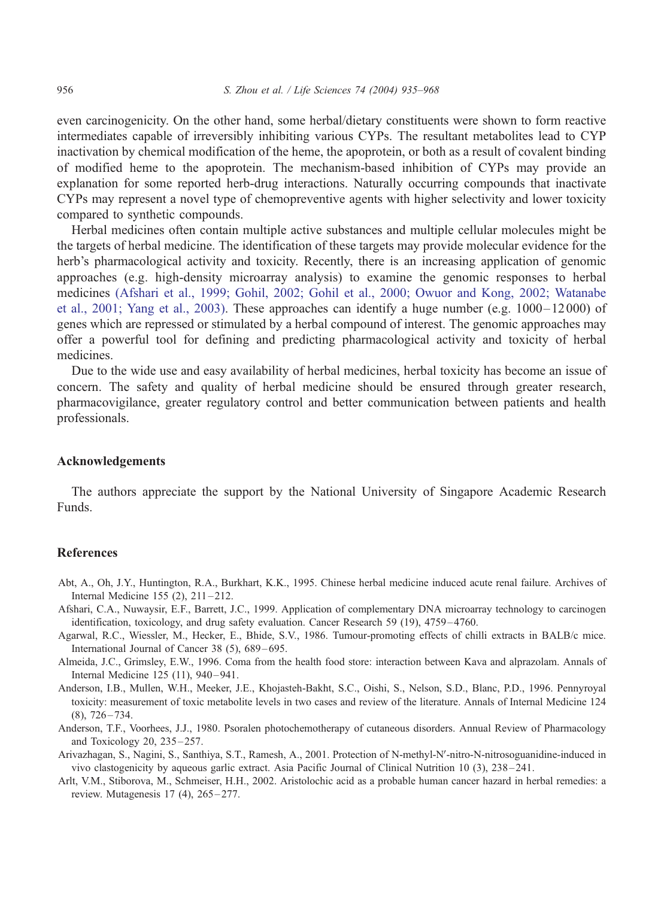<span id="page-21-0"></span>even carcinogenicity. On the other hand, some herbal/dietary constituents were shown to form reactive intermediates capable of irreversibly inhibiting various CYPs. The resultant metabolites lead to CYP inactivation by chemical modification of the heme, the apoprotein, or both as a result of covalent binding of modified heme to the apoprotein. The mechanism-based inhibition of CYPs may provide an explanation for some reported herb-drug interactions. Naturally occurring compounds that inactivate CYPs may represent a novel type of chemopreventive agents with higher selectivity and lower toxicity compared to synthetic compounds.

Herbal medicines often contain multiple active substances and multiple cellular molecules might be the targets of herbal medicine. The identification of these targets may provide molecular evidence for the herb's pharmacological activity and toxicity. Recently, there is an increasing application of genomic approaches (e.g. high-density microarray analysis) to examine the genomic responses to herbal medicines (Afshari et al., 1999; Gohil, 2002; Gohil et al., 2000; Owuor and Kong, 2002; Watanabe et al., 2001; Yang et al., 2003). These approaches can identify a huge number (e.g. 1000–12 000) of genes which are repressed or stimulated by a herbal compound of interest. The genomic approaches may offer a powerful tool for defining and predicting pharmacological activity and toxicity of herbal medicines.

Due to the wide use and easy availability of herbal medicines, herbal toxicity has become an issue of concern. The safety and quality of herbal medicine should be ensured through greater research, pharmacovigilance, greater regulatory control and better communication between patients and health professionals.

# Acknowledgements

The authors appreciate the support by the National University of Singapore Academic Research Funds.

## References

- Abt, A., Oh, J.Y., Huntington, R.A., Burkhart, K.K., 1995. Chinese herbal medicine induced acute renal failure. Archives of Internal Medicine 155 (2), 211 – 212.
- Afshari, C.A., Nuwaysir, E.F., Barrett, J.C., 1999. Application of complementary DNA microarray technology to carcinogen identification, toxicology, and drug safety evaluation. Cancer Research 59 (19), 4759–4760.
- Agarwal, R.C., Wiessler, M., Hecker, E., Bhide, S.V., 1986. Tumour-promoting effects of chilli extracts in BALB/c mice. International Journal of Cancer 38 (5), 689 – 695.
- Almeida, J.C., Grimsley, E.W., 1996. Coma from the health food store: interaction between Kava and alprazolam. Annals of Internal Medicine 125 (11), 940 – 941.
- Anderson, I.B., Mullen, W.H., Meeker, J.E., Khojasteh-Bakht, S.C., Oishi, S., Nelson, S.D., Blanc, P.D., 1996. Pennyroyal toxicity: measurement of toxic metabolite levels in two cases and review of the literature. Annals of Internal Medicine 124  $(8)$ , 726 – 734.
- Anderson, T.F., Voorhees, J.J., 1980. Psoralen photochemotherapy of cutaneous disorders. Annual Review of Pharmacology and Toxicology 20, 235 – 257.
- Arivazhagan, S., Nagini, S., Santhiya, S.T., Ramesh, A., 2001. Protection of N-methyl-NV-nitro-N-nitrosoguanidine-induced in vivo clastogenicity by aqueous garlic extract. Asia Pacific Journal of Clinical Nutrition 10 (3), 238 – 241.
- Arlt, V.M., Stiborova, M., Schmeiser, H.H., 2002. Aristolochic acid as a probable human cancer hazard in herbal remedies: a review. Mutagenesis 17 (4), 265 – 277.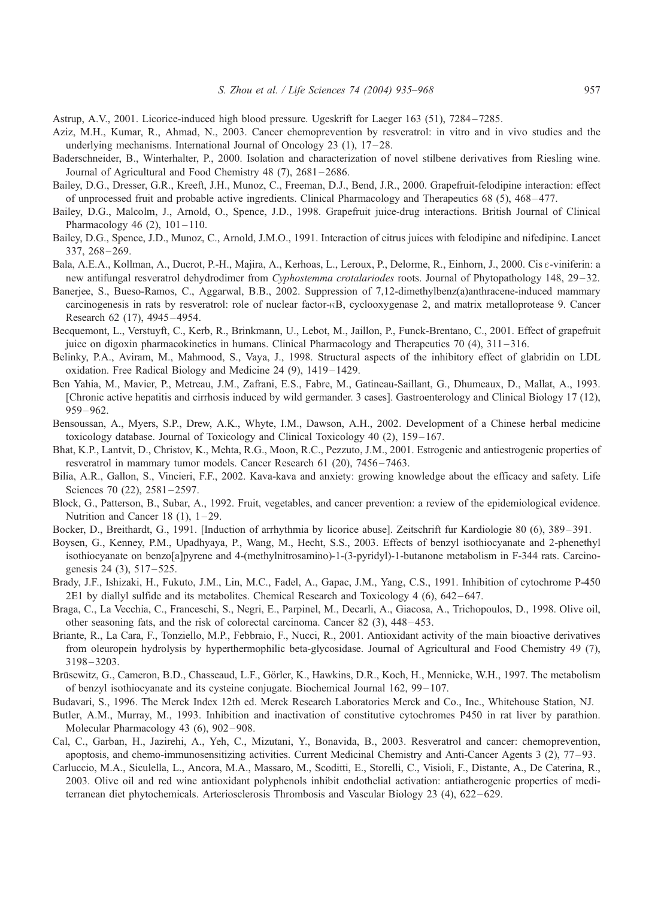- <span id="page-22-0"></span>Astrup, A.V., 2001. Licorice-induced high blood pressure. Ugeskrift for Laeger 163 (51), 7284 – 7285.
- Aziz, M.H., Kumar, R., Ahmad, N., 2003. Cancer chemoprevention by resveratrol: in vitro and in vivo studies and the underlying mechanisms. International Journal of Oncology 23  $(1)$ ,  $17-28$ .
- Baderschneider, B., Winterhalter, P., 2000. Isolation and characterization of novel stilbene derivatives from Riesling wine. Journal of Agricultural and Food Chemistry 48 (7), 2681–2686.
- Bailey, D.G., Dresser, G.R., Kreeft, J.H., Munoz, C., Freeman, D.J., Bend, J.R., 2000. Grapefruit-felodipine interaction: effect of unprocessed fruit and probable active ingredients. Clinical Pharmacology and Therapeutics 68 (5), 468 – 477.
- Bailey, D.G., Malcolm, J., Arnold, O., Spence, J.D., 1998. Grapefruit juice-drug interactions. British Journal of Clinical Pharmacology 46  $(2)$ , 101-110.
- Bailey, D.G., Spence, J.D., Munoz, C., Arnold, J.M.O., 1991. Interaction of citrus juices with felodipine and nifedipine. Lancet 337, 268 – 269.
- Bala, A.E.A., Kollman, A., Ducrot, P.-H., Majira, A., Kerhoas, L., Leroux, P., Delorme, R., Einhorn, J., 2000. Cis  $\varepsilon$ -viniferin: a new antifungal resveratrol dehydrodimer from Cyphostemma crotalariodes roots. Journal of Phytopathology 148, 29–32.
- Banerjee, S., Bueso-Ramos, C., Aggarwal, B.B., 2002. Suppression of 7,12-dimethylbenz(a)anthracene-induced mammary carcinogenesis in rats by resveratrol: role of nuclear factor-nB, cyclooxygenase 2, and matrix metalloprotease 9. Cancer Research 62 (17), 4945 – 4954.
- Becquemont, L., Verstuyft, C., Kerb, R., Brinkmann, U., Lebot, M., Jaillon, P., Funck-Brentano, C., 2001. Effect of grapefruit juice on digoxin pharmacokinetics in humans. Clinical Pharmacology and Therapeutics 70 (4), 311 – 316.
- Belinky, P.A., Aviram, M., Mahmood, S., Vaya, J., 1998. Structural aspects of the inhibitory effect of glabridin on LDL oxidation. Free Radical Biology and Medicine 24 (9), 1419 – 1429.
- Ben Yahia, M., Mavier, P., Metreau, J.M., Zafrani, E.S., Fabre, M., Gatineau-Saillant, G., Dhumeaux, D., Mallat, A., 1993. [Chronic active hepatitis and cirrhosis induced by wild germander. 3 cases]. Gastroenterology and Clinical Biology 17 (12), 959 – 962.
- Bensoussan, A., Myers, S.P., Drew, A.K., Whyte, I.M., Dawson, A.H., 2002. Development of a Chinese herbal medicine toxicology database. Journal of Toxicology and Clinical Toxicology 40 (2), 159 – 167.
- Bhat, K.P., Lantvit, D., Christov, K., Mehta, R.G., Moon, R.C., Pezzuto, J.M., 2001. Estrogenic and antiestrogenic properties of resveratrol in mammary tumor models. Cancer Research 61 (20), 7456 – 7463.
- Bilia, A.R., Gallon, S., Vincieri, F.F., 2002. Kava-kava and anxiety: growing knowledge about the efficacy and safety. Life Sciences 70 (22), 2581-2597.
- Block, G., Patterson, B., Subar, A., 1992. Fruit, vegetables, and cancer prevention: a review of the epidemiological evidence. Nutrition and Cancer 18  $(1)$ , 1-29.
- Bocker, D., Breithardt, G., 1991. [Induction of arrhythmia by licorice abuse]. Zeitschrift fur Kardiologie 80 (6), 389 391.
- Boysen, G., Kenney, P.M., Upadhyaya, P., Wang, M., Hecht, S.S., 2003. Effects of benzyl isothiocyanate and 2-phenethyl isothiocyanate on benzo[a]pyrene and 4-(methylnitrosamino)-1-(3-pyridyl)-1-butanone metabolism in F-344 rats. Carcinogenesis 24 (3), 517-525.
- Brady, J.F., Ishizaki, H., Fukuto, J.M., Lin, M.C., Fadel, A., Gapac, J.M., Yang, C.S., 1991. Inhibition of cytochrome P-450 2E1 by diallyl sulfide and its metabolites. Chemical Research and Toxicology 4 (6), 642 – 647.
- Braga, C., La Vecchia, C., Franceschi, S., Negri, E., Parpinel, M., Decarli, A., Giacosa, A., Trichopoulos, D., 1998. Olive oil, other seasoning fats, and the risk of colorectal carcinoma. Cancer 82 (3), 448 – 453.
- Briante, R., La Cara, F., Tonziello, M.P., Febbraio, F., Nucci, R., 2001. Antioxidant activity of the main bioactive derivatives from oleuropein hydrolysis by hyperthermophilic beta-glycosidase. Journal of Agricultural and Food Chemistry 49 (7), 3198 – 3203.
- Brüsewitz, G., Cameron, B.D., Chasseaud, L.F., Görler, K., Hawkins, D.R., Koch, H., Mennicke, W.H., 1997. The metabolism of benzyl isothiocyanate and its cysteine conjugate. Biochemical Journal 162, 99 – 107.
- Budavari, S., 1996. The Merck Index 12th ed. Merck Research Laboratories Merck and Co., Inc., Whitehouse Station, NJ.
- Butler, A.M., Murray, M., 1993. Inhibition and inactivation of constitutive cytochromes P450 in rat liver by parathion. Molecular Pharmacology 43 (6), 902-908.
- Cal, C., Garban, H., Jazirehi, A., Yeh, C., Mizutani, Y., Bonavida, B., 2003. Resveratrol and cancer: chemoprevention, apoptosis, and chemo-immunosensitizing activities. Current Medicinal Chemistry and Anti-Cancer Agents 3 (2), 77 – 93.
- Carluccio, M.A., Siculella, L., Ancora, M.A., Massaro, M., Scoditti, E., Storelli, C., Visioli, F., Distante, A., De Caterina, R., 2003. Olive oil and red wine antioxidant polyphenols inhibit endothelial activation: antiatherogenic properties of mediterranean diet phytochemicals. Arteriosclerosis Thrombosis and Vascular Biology 23 (4), 622 – 629.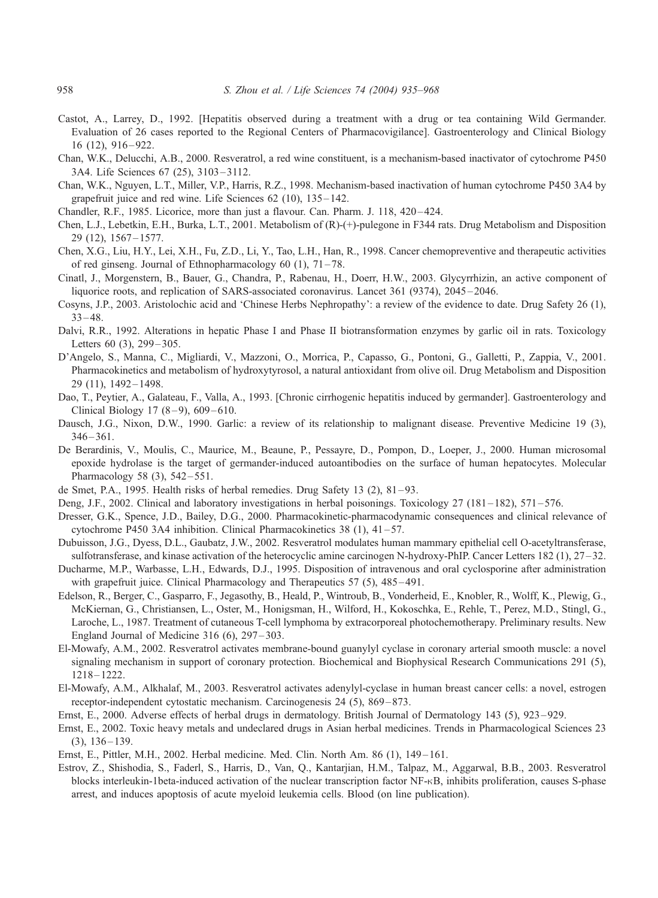- <span id="page-23-0"></span>Castot, A., Larrey, D., 1992. [Hepatitis observed during a treatment with a drug or tea containing Wild Germander. Evaluation of 26 cases reported to the Regional Centers of Pharmacovigilance]. Gastroenterology and Clinical Biology  $16$  (12),  $916 - 922$ .
- Chan, W.K., Delucchi, A.B., 2000. Resveratrol, a red wine constituent, is a mechanism-based inactivator of cytochrome P450 3A4. Life Sciences 67 (25), 3103 – 3112.
- Chan, W.K., Nguyen, L.T., Miller, V.P., Harris, R.Z., 1998. Mechanism-based inactivation of human cytochrome P450 3A4 by grapefruit juice and red wine. Life Sciences  $62$  (10),  $135-142$ .
- Chandler, R.F., 1985. Licorice, more than just a flavour. Can. Pharm. J. 118, 420-424.
- Chen, L.J., Lebetkin, E.H., Burka, L.T., 2001. Metabolism of (R)-(+)-pulegone in F344 rats. Drug Metabolism and Disposition 29 (12), 1567 – 1577.
- Chen, X.G., Liu, H.Y., Lei, X.H., Fu, Z.D., Li, Y., Tao, L.H., Han, R., 1998. Cancer chemopreventive and therapeutic activities of red ginseng. Journal of Ethnopharmacology 60 (1), 71 – 78.
- Cinatl, J., Morgenstern, B., Bauer, G., Chandra, P., Rabenau, H., Doerr, H.W., 2003. Glycyrrhizin, an active component of liquorice roots, and replication of SARS-associated coronavirus. Lancet 361 (9374), 2045–2046.
- Cosyns, J.P., 2003. Aristolochic acid and 'Chinese Herbs Nephropathy': a review of the evidence to date. Drug Safety 26 (1),  $33 - 48.$
- Dalvi, R.R., 1992. Alterations in hepatic Phase I and Phase II biotransformation enzymes by garlic oil in rats. Toxicology Letters 60 (3), 299-305.
- D'Angelo, S., Manna, C., Migliardi, V., Mazzoni, O., Morrica, P., Capasso, G., Pontoni, G., Galletti, P., Zappia, V., 2001. Pharmacokinetics and metabolism of hydroxytyrosol, a natural antioxidant from olive oil. Drug Metabolism and Disposition 29 (11), 1492 – 1498.
- Dao, T., Peytier, A., Galateau, F., Valla, A., 1993. [Chronic cirrhogenic hepatitis induced by germander]. Gastroenterology and Clinical Biology  $17 (8 - 9)$ ,  $609 - 610$ .
- Dausch, J.G., Nixon, D.W., 1990. Garlic: a review of its relationship to malignant disease. Preventive Medicine 19 (3), 346 – 361.
- De Berardinis, V., Moulis, C., Maurice, M., Beaune, P., Pessayre, D., Pompon, D., Loeper, J., 2000. Human microsomal epoxide hydrolase is the target of germander-induced autoantibodies on the surface of human hepatocytes. Molecular Pharmacology 58 (3), 542 – 551.
- de Smet, P.A., 1995. Health risks of herbal remedies. Drug Safety 13 (2), 81-93.
- Deng, J.F., 2002. Clinical and laboratory investigations in herbal poisonings. Toxicology 27 (181–182), 571–576.
- Dresser, G.K., Spence, J.D., Bailey, D.G., 2000. Pharmacokinetic-pharmacodynamic consequences and clinical relevance of cytochrome P450 3A4 inhibition. Clinical Pharmacokinetics  $38(1)$ ,  $41-57$ .
- Dubuisson, J.G., Dyess, D.L., Gaubatz, J.W., 2002. Resveratrol modulates human mammary epithelial cell O-acetyltransferase, sulfotransferase, and kinase activation of the heterocyclic amine carcinogen N-hydroxy-PhIP. Cancer Letters 182 (1), 27–32.
- Ducharme, M.P., Warbasse, L.H., Edwards, D.J., 1995. Disposition of intravenous and oral cyclosporine after administration with grapefruit juice. Clinical Pharmacology and Therapeutics 57 (5), 485-491.
- Edelson, R., Berger, C., Gasparro, F., Jegasothy, B., Heald, P., Wintroub, B., Vonderheid, E., Knobler, R., Wolff, K., Plewig, G., McKiernan, G., Christiansen, L., Oster, M., Honigsman, H., Wilford, H., Kokoschka, E., Rehle, T., Perez, M.D., Stingl, G., Laroche, L., 1987. Treatment of cutaneous T-cell lymphoma by extracorporeal photochemotherapy. Preliminary results. New England Journal of Medicine  $316(6)$ ,  $297-303$ .
- El-Mowafy, A.M., 2002. Resveratrol activates membrane-bound guanylyl cyclase in coronary arterial smooth muscle: a novel signaling mechanism in support of coronary protection. Biochemical and Biophysical Research Communications 291 (5), 1218 – 1222.
- El-Mowafy, A.M., Alkhalaf, M., 2003. Resveratrol activates adenylyl-cyclase in human breast cancer cells: a novel, estrogen receptor-independent cytostatic mechanism. Carcinogenesis 24 (5), 869 – 873.
- Ernst, E., 2000. Adverse effects of herbal drugs in dermatology. British Journal of Dermatology 143 (5), 923 929.
- Ernst, E., 2002. Toxic heavy metals and undeclared drugs in Asian herbal medicines. Trends in Pharmacological Sciences 23  $(3)$ , 136 – 139.
- Ernst, E., Pittler, M.H., 2002. Herbal medicine. Med. Clin. North Am. 86 (1), 149 161.
- Estrov, Z., Shishodia, S., Faderl, S., Harris, D., Van, Q., Kantarjian, H.M., Talpaz, M., Aggarwal, B.B., 2003. Resveratrol blocks interleukin-1beta-induced activation of the nuclear transcription factor NF-KB, inhibits proliferation, causes S-phase arrest, and induces apoptosis of acute myeloid leukemia cells. Blood (on line publication).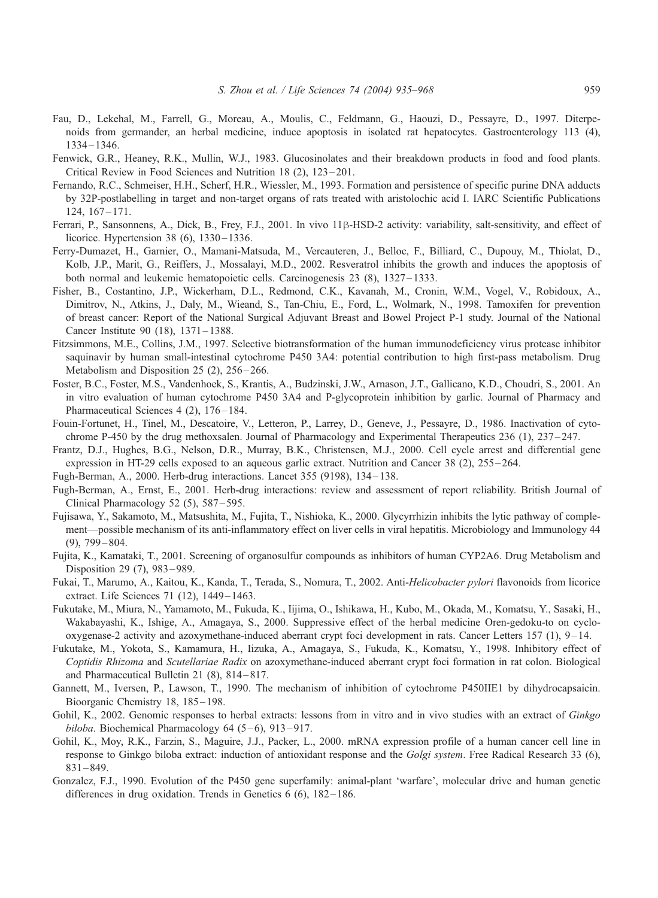- <span id="page-24-0"></span>Fau, D., Lekehal, M., Farrell, G., Moreau, A., Moulis, C., Feldmann, G., Haouzi, D., Pessayre, D., 1997. Diterpenoids from germander, an herbal medicine, induce apoptosis in isolated rat hepatocytes. Gastroenterology 113 (4), 1334 – 1346.
- Fenwick, G.R., Heaney, R.K., Mullin, W.J., 1983. Glucosinolates and their breakdown products in food and food plants. Critical Review in Food Sciences and Nutrition 18 (2), 123 – 201.
- Fernando, R.C., Schmeiser, H.H., Scherf, H.R., Wiessler, M., 1993. Formation and persistence of specific purine DNA adducts by 32P-postlabelling in target and non-target organs of rats treated with aristolochic acid I. IARC Scientific Publications  $124, 167 - 171.$
- Ferrari, P., Sansonnens, A., Dick, B., Frey, F.J., 2001. In vivo 11ß-HSD-2 activity: variability, salt-sensitivity, and effect of licorice. Hypertension 38 (6), 1330–1336.
- Ferry-Dumazet, H., Garnier, O., Mamani-Matsuda, M., Vercauteren, J., Belloc, F., Billiard, C., Dupouy, M., Thiolat, D., Kolb, J.P., Marit, G., Reiffers, J., Mossalayi, M.D., 2002. Resveratrol inhibits the growth and induces the apoptosis of both normal and leukemic hematopoietic cells. Carcinogenesis 23 (8), 1327 – 1333.
- Fisher, B., Costantino, J.P., Wickerham, D.L., Redmond, C.K., Kavanah, M., Cronin, W.M., Vogel, V., Robidoux, A., Dimitrov, N., Atkins, J., Daly, M., Wieand, S., Tan-Chiu, E., Ford, L., Wolmark, N., 1998. Tamoxifen for prevention of breast cancer: Report of the National Surgical Adjuvant Breast and Bowel Project P-1 study. Journal of the National Cancer Institute 90 (18), 1371 – 1388.
- Fitzsimmons, M.E., Collins, J.M., 1997. Selective biotransformation of the human immunodeficiency virus protease inhibitor saquinavir by human small-intestinal cytochrome P450 3A4: potential contribution to high first-pass metabolism. Drug Metabolism and Disposition 25 (2), 256–266.
- Foster, B.C., Foster, M.S., Vandenhoek, S., Krantis, A., Budzinski, J.W., Arnason, J.T., Gallicano, K.D., Choudri, S., 2001. An in vitro evaluation of human cytochrome P450 3A4 and P-glycoprotein inhibition by garlic. Journal of Pharmacy and Pharmaceutical Sciences 4 (2), 176-184.
- Fouin-Fortunet, H., Tinel, M., Descatoire, V., Letteron, P., Larrey, D., Geneve, J., Pessayre, D., 1986. Inactivation of cytochrome P-450 by the drug methoxsalen. Journal of Pharmacology and Experimental Therapeutics 236 (1), 237 – 247.
- Frantz, D.J., Hughes, B.G., Nelson, D.R., Murray, B.K., Christensen, M.J., 2000. Cell cycle arrest and differential gene expression in HT-29 cells exposed to an aqueous garlic extract. Nutrition and Cancer 38 (2), 255–264.
- Fugh-Berman, A., 2000. Herb-drug interactions. Lancet 355 (9198), 134 138.
- Fugh-Berman, A., Ernst, E., 2001. Herb-drug interactions: review and assessment of report reliability. British Journal of Clinical Pharmacology 52 (5), 587–595.
- Fujisawa, Y., Sakamoto, M., Matsushita, M., Fujita, T., Nishioka, K., 2000. Glycyrrhizin inhibits the lytic pathway of complement—possible mechanism of its anti-inflammatory effect on liver cells in viral hepatitis. Microbiology and Immunology 44 (9), 799 – 804.
- Fujita, K., Kamataki, T., 2001. Screening of organosulfur compounds as inhibitors of human CYP2A6. Drug Metabolism and Disposition 29 (7), 983 – 989.
- Fukai, T., Marumo, A., Kaitou, K., Kanda, T., Terada, S., Nomura, T., 2002. Anti-Helicobacter pylori flavonoids from licorice extract. Life Sciences 71 (12), 1449–1463.
- Fukutake, M., Miura, N., Yamamoto, M., Fukuda, K., Iijima, O., Ishikawa, H., Kubo, M., Okada, M., Komatsu, Y., Sasaki, H., Wakabayashi, K., Ishige, A., Amagaya, S., 2000. Suppressive effect of the herbal medicine Oren-gedoku-to on cyclooxygenase-2 activity and azoxymethane-induced aberrant crypt foci development in rats. Cancer Letters 157 (1), 9 – 14.
- Fukutake, M., Yokota, S., Kamamura, H., Iizuka, A., Amagaya, S., Fukuda, K., Komatsu, Y., 1998. Inhibitory effect of Coptidis Rhizoma and Scutellariae Radix on azoxymethane-induced aberrant crypt foci formation in rat colon. Biological and Pharmaceutical Bulletin 21 (8), 814 – 817.
- Gannett, M., Iversen, P., Lawson, T., 1990. The mechanism of inhibition of cytochrome P450IIE1 by dihydrocapsaicin. Bioorganic Chemistry 18, 185-198.
- Gohil, K., 2002. Genomic responses to herbal extracts: lessons from in vitro and in vivo studies with an extract of Ginkgo biloba. Biochemical Pharmacology 64 (5-6), 913-917.
- Gohil, K., Moy, R.K., Farzin, S., Maguire, J.J., Packer, L., 2000. mRNA expression profile of a human cancer cell line in response to Ginkgo biloba extract: induction of antioxidant response and the Golgi system. Free Radical Research 33 (6), 831 – 849.
- Gonzalez, F.J., 1990. Evolution of the P450 gene superfamily: animal-plant 'warfare', molecular drive and human genetic differences in drug oxidation. Trends in Genetics  $6(6)$ ,  $182-186$ .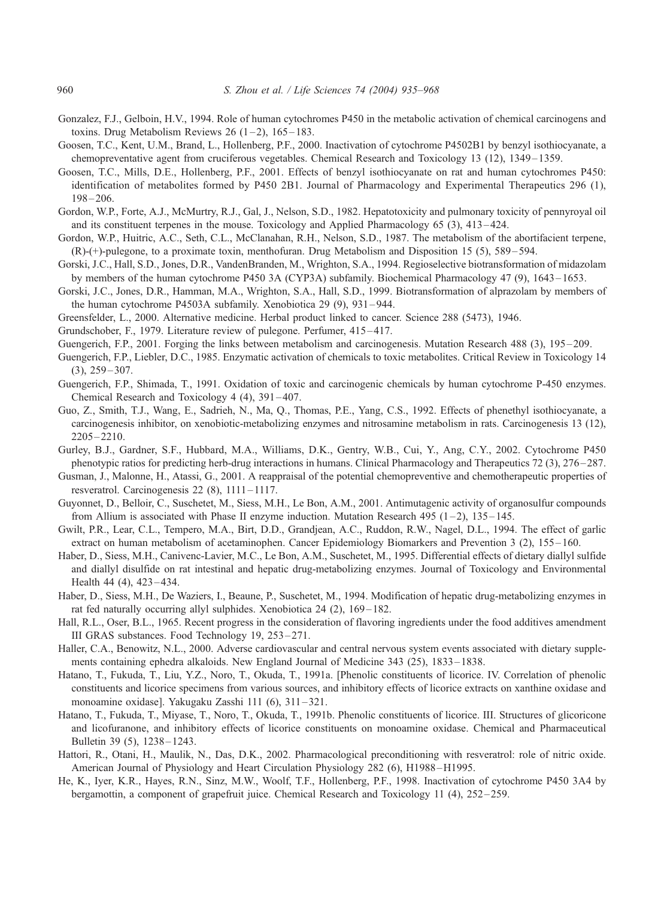- <span id="page-25-0"></span>Gonzalez, F.J., Gelboin, H.V., 1994. Role of human cytochromes P450 in the metabolic activation of chemical carcinogens and toxins. Drug Metabolism Reviews 26  $(1-2)$ , 165-183.
- Goosen, T.C., Kent, U.M., Brand, L., Hollenberg, P.F., 2000. Inactivation of cytochrome P4502B1 by benzyl isothiocyanate, a chemopreventative agent from cruciferous vegetables. Chemical Research and Toxicology 13 (12), 1349 – 1359.
- Goosen, T.C., Mills, D.E., Hollenberg, P.F., 2001. Effects of benzyl isothiocyanate on rat and human cytochromes P450: identification of metabolites formed by P450 2B1. Journal of Pharmacology and Experimental Therapeutics 296 (1),  $198 - 206.$
- Gordon, W.P., Forte, A.J., McMurtry, R.J., Gal, J., Nelson, S.D., 1982. Hepatotoxicity and pulmonary toxicity of pennyroyal oil and its constituent terpenes in the mouse. Toxicology and Applied Pharmacology 65 (3), 413 – 424.
- Gordon, W.P., Huitric, A.C., Seth, C.L., McClanahan, R.H., Nelson, S.D., 1987. The metabolism of the abortifacient terpene, (R)-(+)-pulegone, to a proximate toxin, menthofuran. Drug Metabolism and Disposition 15 (5), 589 – 594.
- Gorski, J.C., Hall, S.D., Jones, D.R., VandenBranden, M., Wrighton, S.A., 1994. Regioselective biotransformation of midazolam by members of the human cytochrome P450 3A (CYP3A) subfamily. Biochemical Pharmacology 47 (9), 1643 – 1653.
- Gorski, J.C., Jones, D.R., Hamman, M.A., Wrighton, S.A., Hall, S.D., 1999. Biotransformation of alprazolam by members of the human cytochrome P4503A subfamily. Xenobiotica 29 (9), 931 – 944.
- Greensfelder, L., 2000. Alternative medicine. Herbal product linked to cancer. Science 288 (5473), 1946.
- Grundschober, F., 1979. Literature review of pulegone. Perfumer, 415 417.
- Guengerich, F.P., 2001. Forging the links between metabolism and carcinogenesis. Mutation Research 488 (3), 195–209.
- Guengerich, F.P., Liebler, D.C., 1985. Enzymatic activation of chemicals to toxic metabolites. Critical Review in Toxicology 14  $(3), 259 - 307.$
- Guengerich, F.P., Shimada, T., 1991. Oxidation of toxic and carcinogenic chemicals by human cytochrome P-450 enzymes. Chemical Research and Toxicology 4 (4), 391 – 407.
- Guo, Z., Smith, T.J., Wang, E., Sadrieh, N., Ma, Q., Thomas, P.E., Yang, C.S., 1992. Effects of phenethyl isothiocyanate, a carcinogenesis inhibitor, on xenobiotic-metabolizing enzymes and nitrosamine metabolism in rats. Carcinogenesis 13 (12), 2205 – 2210.
- Gurley, B.J., Gardner, S.F., Hubbard, M.A., Williams, D.K., Gentry, W.B., Cui, Y., Ang, C.Y., 2002. Cytochrome P450 phenotypic ratios for predicting herb-drug interactions in humans. Clinical Pharmacology and Therapeutics 72 (3), 276 – 287.
- Gusman, J., Malonne, H., Atassi, G., 2001. A reappraisal of the potential chemopreventive and chemotherapeutic properties of resveratrol. Carcinogenesis 22 (8), 1111 – 1117.
- Guyonnet, D., Belloir, C., Suschetet, M., Siess, M.H., Le Bon, A.M., 2001. Antimutagenic activity of organosulfur compounds from Allium is associated with Phase II enzyme induction. Mutation Research 495 (1–2), 135–145.
- Gwilt, P.R., Lear, C.L., Tempero, M.A., Birt, D.D., Grandjean, A.C., Ruddon, R.W., Nagel, D.L., 1994. The effect of garlic extract on human metabolism of acetaminophen. Cancer Epidemiology Biomarkers and Prevention 3 (2), 155 – 160.
- Haber, D., Siess, M.H., Canivenc-Lavier, M.C., Le Bon, A.M., Suschetet, M., 1995. Differential effects of dietary diallyl sulfide and diallyl disulfide on rat intestinal and hepatic drug-metabolizing enzymes. Journal of Toxicology and Environmental Health 44 (4), 423–434.
- Haber, D., Siess, M.H., De Waziers, I., Beaune, P., Suschetet, M., 1994. Modification of hepatic drug-metabolizing enzymes in rat fed naturally occurring allyl sulphides. Xenobiotica 24 (2), 169-182.
- Hall, R.L., Oser, B.L., 1965. Recent progress in the consideration of flavoring ingredients under the food additives amendment III GRAS substances. Food Technology 19, 253 – 271.
- Haller, C.A., Benowitz, N.L., 2000. Adverse cardiovascular and central nervous system events associated with dietary supplements containing ephedra alkaloids. New England Journal of Medicine 343 (25), 1833 – 1838.
- Hatano, T., Fukuda, T., Liu, Y.Z., Noro, T., Okuda, T., 1991a. [Phenolic constituents of licorice. IV. Correlation of phenolic constituents and licorice specimens from various sources, and inhibitory effects of licorice extracts on xanthine oxidase and monoamine oxidase]. Yakugaku Zasshi 111 (6), 311 – 321.
- Hatano, T., Fukuda, T., Miyase, T., Noro, T., Okuda, T., 1991b. Phenolic constituents of licorice. III. Structures of glicoricone and licofuranone, and inhibitory effects of licorice constituents on monoamine oxidase. Chemical and Pharmaceutical Bulletin 39 (5), 1238 – 1243.
- Hattori, R., Otani, H., Maulik, N., Das, D.K., 2002. Pharmacological preconditioning with resveratrol: role of nitric oxide. American Journal of Physiology and Heart Circulation Physiology 282 (6), H1988–H1995.
- He, K., Iyer, K.R., Hayes, R.N., Sinz, M.W., Woolf, T.F., Hollenberg, P.F., 1998. Inactivation of cytochrome P450 3A4 by bergamottin, a component of grapefruit juice. Chemical Research and Toxicology 11 (4), 252 – 259.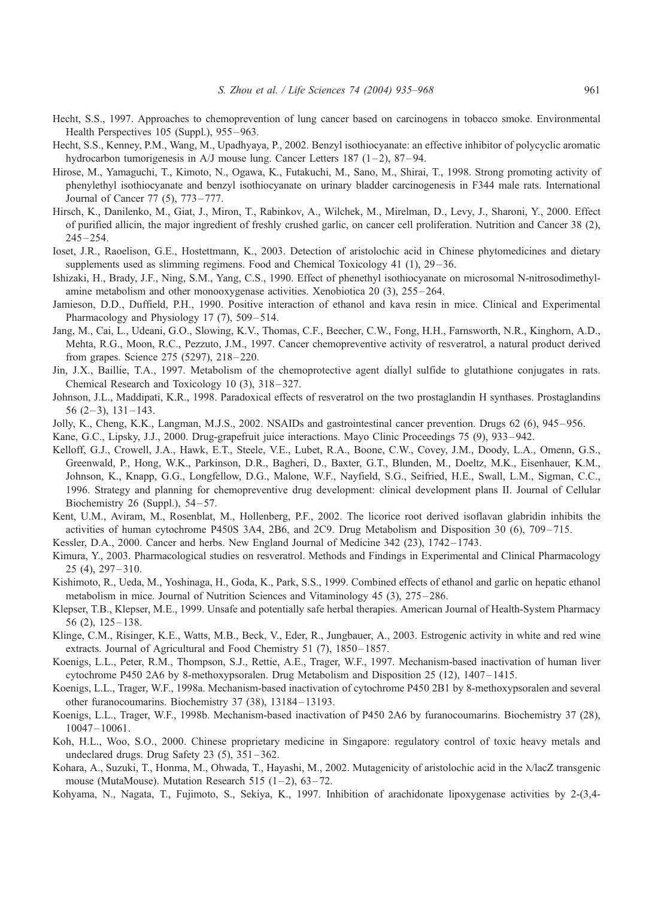- <span id="page-26-0"></span>Hecht, S.S., 1997. Approaches to chemoprevention of lung cancer based on carcinogens in tobacco smoke. Environmental Health Perspectives 105 (Suppl.), 955–963.
- Hecht, S.S., Kenney, P.M., Wang, M., Upadhyaya, P., 2002. Benzyl isothiocyanate: an effective inhibitor of polycyclic aromatic hydrocarbon tumorigenesis in A/J mouse lung. Cancer Letters 187 (1–2), 87–94.
- Hirose, M., Yamaguchi, T., Kimoto, N., Ogawa, K., Futakuchi, M., Sano, M., Shirai, T., 1998. Strong promoting activity of phenylethyl isothiocyanate and benzyl isothiocyanate on urinary bladder carcinogenesis in F344 male rats. International Journal of Cancer 77 (5), 773 – 777.
- Hirsch, K., Danilenko, M., Giat, J., Miron, T., Rabinkov, A., Wilchek, M., Mirelman, D., Levy, J., Sharoni, Y., 2000. Effect of purified allicin, the major ingredient of freshly crushed garlic, on cancer cell proliferation. Nutrition and Cancer 38 (2),  $245 - 254.$
- Ioset, J.R., Raoelison, G.E., Hostettmann, K., 2003. Detection of aristolochic acid in Chinese phytomedicines and dietary supplements used as slimming regimens. Food and Chemical Toxicology 41 (1), 29–36.
- Ishizaki, H., Brady, J.F., Ning, S.M., Yang, C.S., 1990. Effect of phenethyl isothiocyanate on microsomal N-nitrosodimethylamine metabolism and other monooxygenase activities. Xenobiotica 20 (3), 255 – 264.
- Jamieson, D.D., Duffield, P.H., 1990. Positive interaction of ethanol and kava resin in mice. Clinical and Experimental Pharmacology and Physiology 17 (7), 509–514.
- Jang, M., Cai, L., Udeani, G.O., Slowing, K.V., Thomas, C.F., Beecher, C.W., Fong, H.H., Farnsworth, N.R., Kinghorn, A.D., Mehta, R.G., Moon, R.C., Pezzuto, J.M., 1997. Cancer chemopreventive activity of resveratrol, a natural product derived from grapes. Science 275 (5297), 218 – 220.
- Jin, J.X., Baillie, T.A., 1997. Metabolism of the chemoprotective agent diallyl sulfide to glutathione conjugates in rats. Chemical Research and Toxicology 10 (3), 318 – 327.
- Johnson, J.L., Maddipati, K.R., 1998. Paradoxical effects of resveratrol on the two prostaglandin H synthases. Prostaglandins  $56(2-3), 131-143.$
- Jolly, K., Cheng, K.K., Langman, M.J.S., 2002. NSAIDs and gastrointestinal cancer prevention. Drugs 62 (6), 945 956.
- Kane, G.C., Lipsky, J.J., 2000. Drug-grapefruit juice interactions. Mayo Clinic Proceedings 75 (9), 933 942.
- Kelloff, G.J., Crowell, J.A., Hawk, E.T., Steele, V.E., Lubet, R.A., Boone, C.W., Covey, J.M., Doody, L.A., Omenn, G.S., Greenwald, P., Hong, W.K., Parkinson, D.R., Bagheri, D., Baxter, G.T., Blunden, M., Doeltz, M.K., Eisenhauer, K.M., Johnson, K., Knapp, G.G., Longfellow, D.G., Malone, W.F., Nayfield, S.G., Seifried, H.E., Swall, L.M., Sigman, C.C., 1996. Strategy and planning for chemopreventive drug development: clinical development plans II. Journal of Cellular Biochemistry 26 (Suppl.),  $54-57$ .
- Kent, U.M., Aviram, M., Rosenblat, M., Hollenberg, P.F., 2002. The licorice root derived isoflavan glabridin inhibits the activities of human cytochrome P450S 3A4, 2B6, and 2C9. Drug Metabolism and Disposition 30 (6), 709 – 715.
- Kessler, D.A., 2000. Cancer and herbs. New England Journal of Medicine 342 (23), 1742–1743.
- Kimura, Y., 2003. Pharmacological studies on resveratrol. Methods and Findings in Experimental and Clinical Pharmacology 25 (4), 297 – 310.
- Kishimoto, R., Ueda, M., Yoshinaga, H., Goda, K., Park, S.S., 1999. Combined effects of ethanol and garlic on hepatic ethanol metabolism in mice. Journal of Nutrition Sciences and Vitaminology 45 (3), 275 – 286.
- Klepser, T.B., Klepser, M.E., 1999. Unsafe and potentially safe herbal therapies. American Journal of Health-System Pharmacy  $56$  (2),  $125 - 138$ .
- Klinge, C.M., Risinger, K.E., Watts, M.B., Beck, V., Eder, R., Jungbauer, A., 2003. Estrogenic activity in white and red wine extracts. Journal of Agricultural and Food Chemistry 51 (7), 1850–1857.
- Koenigs, L.L., Peter, R.M., Thompson, S.J., Rettie, A.E., Trager, W.F., 1997. Mechanism-based inactivation of human liver cytochrome P450 2A6 by 8-methoxypsoralen. Drug Metabolism and Disposition 25 (12), 1407 – 1415.
- Koenigs, L.L., Trager, W.F., 1998a. Mechanism-based inactivation of cytochrome P450 2B1 by 8-methoxypsoralen and several other furanocoumarins. Biochemistry 37 (38), 13184 – 13193.
- Koenigs, L.L., Trager, W.F., 1998b. Mechanism-based inactivation of P450 2A6 by furanocoumarins. Biochemistry 37 (28), 10047 – 10061.
- Koh, H.L., Woo, S.O., 2000. Chinese proprietary medicine in Singapore: regulatory control of toxic heavy metals and undeclared drugs. Drug Safety 23  $(5)$ , 351-362.
- Kohara, A., Suzuki, T., Honma, M., Ohwada, T., Hayashi, M., 2002. Mutagenicity of aristolochic acid in the  $\lambda$ lacZ transgenic mouse (MutaMouse). Mutation Research 515  $(1-2)$ , 63-72.
- Kohyama, N., Nagata, T., Fujimoto, S., Sekiya, K., 1997. Inhibition of arachidonate lipoxygenase activities by 2-(3,4-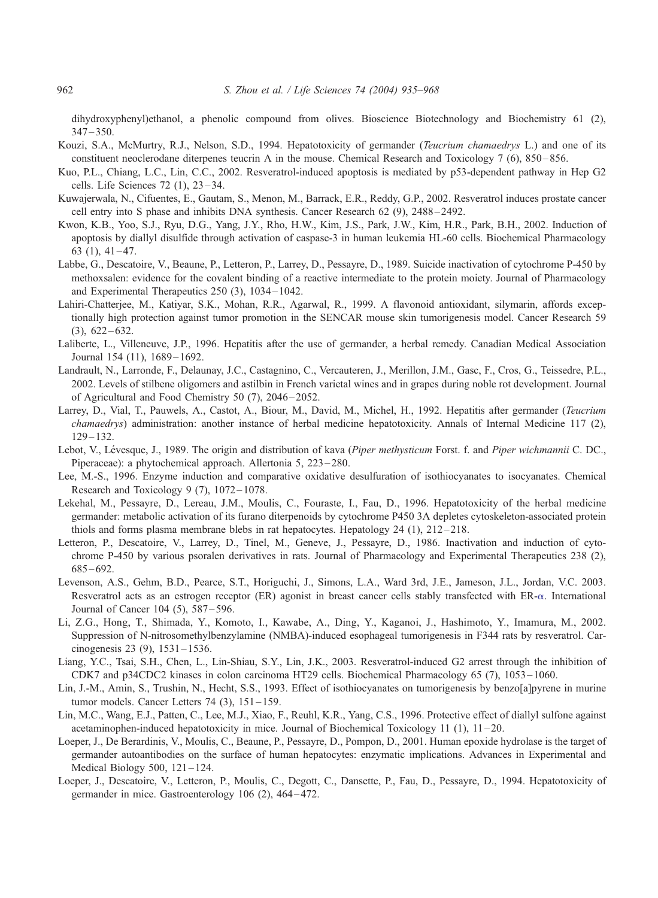<span id="page-27-0"></span>dihydroxyphenyl)ethanol, a phenolic compound from olives. Bioscience Biotechnology and Biochemistry 61 (2),  $347 - 350$ .

- Kouzi, S.A., McMurtry, R.J., Nelson, S.D., 1994. Hepatotoxicity of germander (Teucrium chamaedrys L.) and one of its constituent neoclerodane diterpenes teucrin A in the mouse. Chemical Research and Toxicology 7 (6), 850 – 856.
- Kuo, P.L., Chiang, L.C., Lin, C.C., 2002. Resveratrol-induced apoptosis is mediated by p53-dependent pathway in Hep G2 cells. Life Sciences 72 (1), 23 – 34.
- Kuwajerwala, N., Cifuentes, E., Gautam, S., Menon, M., Barrack, E.R., Reddy, G.P., 2002. Resveratrol induces prostate cancer cell entry into S phase and inhibits DNA synthesis. Cancer Research 62 (9), 2488 – 2492.
- Kwon, K.B., Yoo, S.J., Ryu, D.G., Yang, J.Y., Rho, H.W., Kim, J.S., Park, J.W., Kim, H.R., Park, B.H., 2002. Induction of apoptosis by diallyl disulfide through activation of caspase-3 in human leukemia HL-60 cells. Biochemical Pharmacology  $63$  (1),  $41 - 47$ .
- Labbe, G., Descatoire, V., Beaune, P., Letteron, P., Larrey, D., Pessayre, D., 1989. Suicide inactivation of cytochrome P-450 by methoxsalen: evidence for the covalent binding of a reactive intermediate to the protein moiety. Journal of Pharmacology and Experimental Therapeutics 250 (3), 1034 – 1042.
- Lahiri-Chatterjee, M., Katiyar, S.K., Mohan, R.R., Agarwal, R., 1999. A flavonoid antioxidant, silymarin, affords exceptionally high protection against tumor promotion in the SENCAR mouse skin tumorigenesis model. Cancer Research 59  $(3), 622 - 632.$
- Laliberte, L., Villeneuve, J.P., 1996. Hepatitis after the use of germander, a herbal remedy. Canadian Medical Association Journal 154 (11), 1689-1692.
- Landrault, N., Larronde, F., Delaunay, J.C., Castagnino, C., Vercauteren, J., Merillon, J.M., Gasc, F., Cros, G., Teissedre, P.L., 2002. Levels of stilbene oligomers and astilbin in French varietal wines and in grapes during noble rot development. Journal of Agricultural and Food Chemistry 50 (7), 2046 – 2052.
- Larrey, D., Vial, T., Pauwels, A., Castot, A., Biour, M., David, M., Michel, H., 1992. Hepatitis after germander (Teucrium chamaedrys) administration: another instance of herbal medicine hepatotoxicity. Annals of Internal Medicine 117 (2), 129 – 132.
- Lebot, V., Lévesque, J., 1989. The origin and distribution of kava (Piper methysticum Forst. f. and Piper wichmannii C. DC., Piperaceae): a phytochemical approach. Allertonia 5, 223 – 280.
- Lee, M.-S., 1996. Enzyme induction and comparative oxidative desulfuration of isothiocyanates to isocyanates. Chemical Research and Toxicology 9 (7), 1072-1078.
- Lekehal, M., Pessayre, D., Lereau, J.M., Moulis, C., Fouraste, I., Fau, D., 1996. Hepatotoxicity of the herbal medicine germander: metabolic activation of its furano diterpenoids by cytochrome P450 3A depletes cytoskeleton-associated protein thiols and forms plasma membrane blebs in rat hepatocytes. Hepatology  $24$  (1),  $212-218$ .
- Letteron, P., Descatoire, V., Larrey, D., Tinel, M., Geneve, J., Pessayre, D., 1986. Inactivation and induction of cytochrome P-450 by various psoralen derivatives in rats. Journal of Pharmacology and Experimental Therapeutics 238 (2),  $685 - 692.$
- Levenson, A.S., Gehm, B.D., Pearce, S.T., Horiguchi, J., Simons, L.A., Ward 3rd, J.E., Jameson, J.L., Jordan, V.C. 2003. Resveratrol acts as an estrogen receptor (ER) agonist in breast cancer cells stably transfected with ER- $\alpha$ . International Journal of Cancer 104 (5), 587 – 596.
- Li, Z.G., Hong, T., Shimada, Y., Komoto, I., Kawabe, A., Ding, Y., Kaganoi, J., Hashimoto, Y., Imamura, M., 2002. Suppression of N-nitrosomethylbenzylamine (NMBA)-induced esophageal tumorigenesis in F344 rats by resveratrol. Carcinogenesis 23 (9), 1531 – 1536.
- Liang, Y.C., Tsai, S.H., Chen, L., Lin-Shiau, S.Y., Lin, J.K., 2003. Resveratrol-induced G2 arrest through the inhibition of CDK7 and p34CDC2 kinases in colon carcinoma HT29 cells. Biochemical Pharmacology 65 (7), 1053 – 1060.
- Lin, J.-M., Amin, S., Trushin, N., Hecht, S.S., 1993. Effect of isothiocyanates on tumorigenesis by benzo[a]pyrene in murine tumor models. Cancer Letters  $74$  (3),  $151 - 159$ .
- Lin, M.C., Wang, E.J., Patten, C., Lee, M.J., Xiao, F., Reuhl, K.R., Yang, C.S., 1996. Protective effect of diallyl sulfone against acetaminophen-induced hepatotoxicity in mice. Journal of Biochemical Toxicology 11 (1), 11 – 20.
- Loeper, J., De Berardinis, V., Moulis, C., Beaune, P., Pessayre, D., Pompon, D., 2001. Human epoxide hydrolase is the target of germander autoantibodies on the surface of human hepatocytes: enzymatic implications. Advances in Experimental and Medical Biology  $500$ ,  $121 - 124$ .
- Loeper, J., Descatoire, V., Letteron, P., Moulis, C., Degott, C., Dansette, P., Fau, D., Pessayre, D., 1994. Hepatotoxicity of germander in mice. Gastroenterology 106 (2), 464 – 472.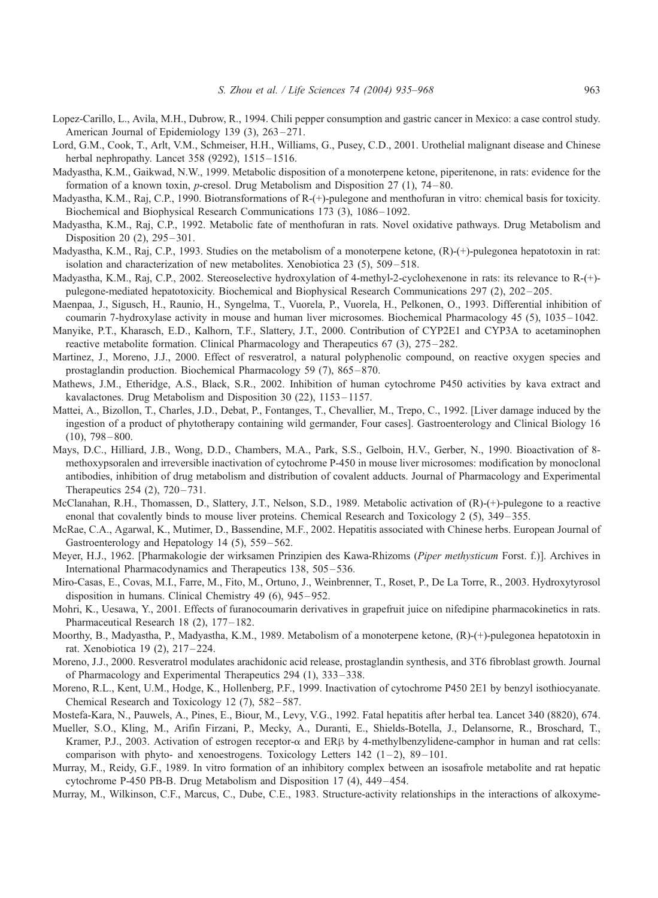- <span id="page-28-0"></span>Lopez-Carillo, L., Avila, M.H., Dubrow, R., 1994. Chili pepper consumption and gastric cancer in Mexico: a case control study. American Journal of Epidemiology 139 (3), 263–271.
- Lord, G.M., Cook, T., Arlt, V.M., Schmeiser, H.H., Williams, G., Pusey, C.D., 2001. Urothelial malignant disease and Chinese herbal nephropathy. Lancet 358 (9292), 1515-1516.
- Madyastha, K.M., Gaikwad, N.W., 1999. Metabolic disposition of a monoterpene ketone, piperitenone, in rats: evidence for the formation of a known toxin, p-cresol. Drug Metabolism and Disposition 27 (1), 74 – 80.
- Madyastha, K.M., Raj, C.P., 1990. Biotransformations of R-(+)-pulegone and menthofuran in vitro: chemical basis for toxicity. Biochemical and Biophysical Research Communications 173 (3), 1086–1092.
- Madyastha, K.M., Raj, C.P., 1992. Metabolic fate of menthofuran in rats. Novel oxidative pathways. Drug Metabolism and Disposition 20 (2), 295 – 301.
- Madyastha, K.M., Raj, C.P., 1993. Studies on the metabolism of a monoterpene ketone, (R)-(+)-pulegonea hepatotoxin in rat: isolation and characterization of new metabolites. Xenobiotica 23 (5), 509 – 518.
- Madyastha, K.M., Raj, C.P., 2002. Stereoselective hydroxylation of 4-methyl-2-cyclohexenone in rats: its relevance to R-(+) pulegone-mediated hepatotoxicity. Biochemical and Biophysical Research Communications 297 (2), 202 – 205.
- Maenpaa, J., Sigusch, H., Raunio, H., Syngelma, T., Vuorela, P., Vuorela, H., Pelkonen, O., 1993. Differential inhibition of coumarin 7-hydroxylase activity in mouse and human liver microsomes. Biochemical Pharmacology 45 (5), 1035 – 1042.
- Manyike, P.T., Kharasch, E.D., Kalhorn, T.F., Slattery, J.T., 2000. Contribution of CYP2E1 and CYP3A to acetaminophen reactive metabolite formation. Clinical Pharmacology and Therapeutics 67 (3), 275 – 282.
- Martinez, J., Moreno, J.J., 2000. Effect of resveratrol, a natural polyphenolic compound, on reactive oxygen species and prostaglandin production. Biochemical Pharmacology 59 (7), 865 – 870.
- Mathews, J.M., Etheridge, A.S., Black, S.R., 2002. Inhibition of human cytochrome P450 activities by kava extract and kavalactones. Drug Metabolism and Disposition 30 (22), 1153 – 1157.
- Mattei, A., Bizollon, T., Charles, J.D., Debat, P., Fontanges, T., Chevallier, M., Trepo, C., 1992. [Liver damage induced by the ingestion of a product of phytotherapy containing wild germander, Four cases]. Gastroenterology and Clinical Biology 16  $(10)$ , 798 – 800.
- Mays, D.C., Hilliard, J.B., Wong, D.D., Chambers, M.A., Park, S.S., Gelboin, H.V., Gerber, N., 1990. Bioactivation of 8 methoxypsoralen and irreversible inactivation of cytochrome P-450 in mouse liver microsomes: modification by monoclonal antibodies, inhibition of drug metabolism and distribution of covalent adducts. Journal of Pharmacology and Experimental Therapeutics 254 (2), 720 – 731.
- McClanahan, R.H., Thomassen, D., Slattery, J.T., Nelson, S.D., 1989. Metabolic activation of (R)-(+)-pulegone to a reactive enonal that covalently binds to mouse liver proteins. Chemical Research and Toxicology 2 (5), 349 – 355.
- McRae, C.A., Agarwal, K., Mutimer, D., Bassendine, M.F., 2002. Hepatitis associated with Chinese herbs. European Journal of Gastroenterology and Hepatology 14 (5), 559-562.
- Meyer, H.J., 1962. [Pharmakologie der wirksamen Prinzipien des Kawa-Rhizoms (Piper methysticum Forst. f.)]. Archives in International Pharmacodynamics and Therapeutics 138, 505 – 536.
- Miro-Casas, E., Covas, M.I., Farre, M., Fito, M., Ortuno, J., Weinbrenner, T., Roset, P., De La Torre, R., 2003. Hydroxytyrosol disposition in humans. Clinical Chemistry 49 (6), 945 – 952.
- Mohri, K., Uesawa, Y., 2001. Effects of furanocoumarin derivatives in grapefruit juice on nifedipine pharmacokinetics in rats. Pharmaceutical Research 18 (2), 177-182.
- Moorthy, B., Madyastha, P., Madyastha, K.M., 1989. Metabolism of a monoterpene ketone, (R)-(+)-pulegonea hepatotoxin in rat. Xenobiotica 19 (2), 217 – 224.
- Moreno, J.J., 2000. Resveratrol modulates arachidonic acid release, prostaglandin synthesis, and 3T6 fibroblast growth. Journal of Pharmacology and Experimental Therapeutics 294 (1), 333 – 338.
- Moreno, R.L., Kent, U.M., Hodge, K., Hollenberg, P.F., 1999. Inactivation of cytochrome P450 2E1 by benzyl isothiocyanate. Chemical Research and Toxicology 12 (7), 582–587.
- Mostefa-Kara, N., Pauwels, A., Pines, E., Biour, M., Levy, V.G., 1992. Fatal hepatitis after herbal tea. Lancet 340 (8820), 674.
- Mueller, S.O., Kling, M., Arifin Firzani, P., Mecky, A., Duranti, E., Shields-Botella, J., Delansorne, R., Broschard, T., Kramer, P.J., 2003. Activation of estrogen receptor- $\alpha$  and ER $\beta$  by 4-methylbenzylidene-camphor in human and rat cells: comparison with phyto- and xenoestrogens. Toxicology Letters  $142$  ( $1-2$ ),  $89-101$ .
- Murray, M., Reidy, G.F., 1989. In vitro formation of an inhibitory complex between an isosafrole metabolite and rat hepatic cytochrome P-450 PB-B. Drug Metabolism and Disposition 17 (4), 449 – 454.
- Murray, M., Wilkinson, C.F., Marcus, C., Dube, C.E., 1983. Structure-activity relationships in the interactions of alkoxyme-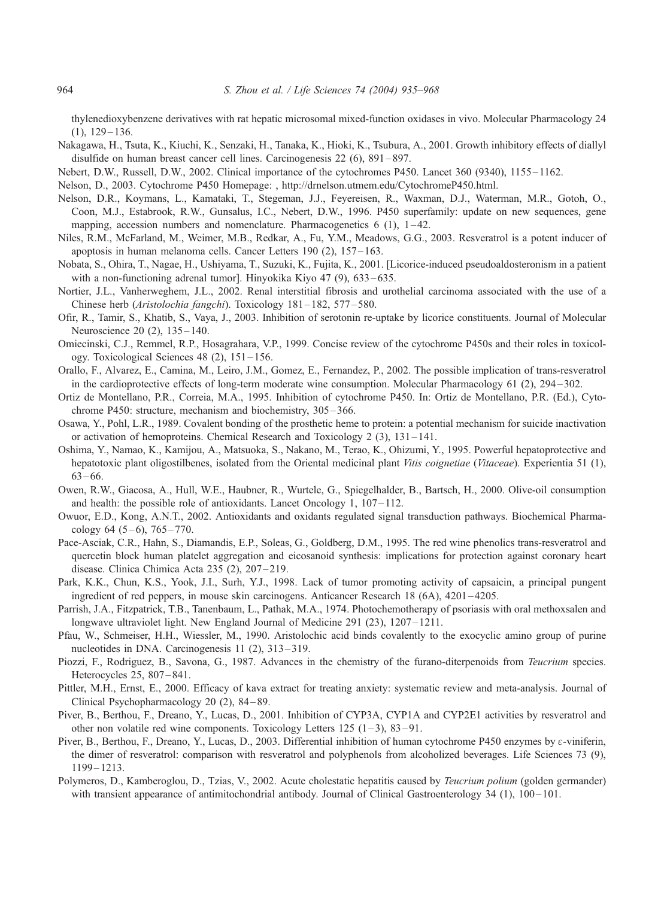<span id="page-29-0"></span>thylenedioxybenzene derivatives with rat hepatic microsomal mixed-function oxidases in vivo. Molecular Pharmacology 24  $(1), 129 - 136.$ 

- Nakagawa, H., Tsuta, K., Kiuchi, K., Senzaki, H., Tanaka, K., Hioki, K., Tsubura, A., 2001. Growth inhibitory effects of diallyl disulfide on human breast cancer cell lines. Carcinogenesis 22 (6), 891 – 897.
- Nebert, D.W., Russell, D.W., 2002. Clinical importance of the cytochromes P450. Lancet 360 (9340), 1155 1162.

Nelson, D., 2003. Cytochrome P450 Homepage: [, http://drnelson.utmem.edu/CytochromeP450.html.]( http:\\drnelson.utmem.edu\CytochromeP450.html )

- Nelson, D.R., Koymans, L., Kamataki, T., Stegeman, J.J., Feyereisen, R., Waxman, D.J., Waterman, M.R., Gotoh, O., Coon, M.J., Estabrook, R.W., Gunsalus, I.C., Nebert, D.W., 1996. P450 superfamily: update on new sequences, gene mapping, accession numbers and nomenclature. Pharmacogenetics  $6$  (1),  $1-42$ .
- Niles, R.M., McFarland, M., Weimer, M.B., Redkar, A., Fu, Y.M., Meadows, G.G., 2003. Resveratrol is a potent inducer of apoptosis in human melanoma cells. Cancer Letters 190 (2), 157 – 163.
- Nobata, S., Ohira, T., Nagae, H., Ushiyama, T., Suzuki, K., Fujita, K., 2001. [Licorice-induced pseudoaldosteronism in a patient with a non-functioning adrenal tumor]. Hinyokika Kiyo 47 (9), 633–635.
- Nortier, J.L., Vanherweghem, J.L., 2002. Renal interstitial fibrosis and urothelial carcinoma associated with the use of a Chinese herb (Aristolochia fangchi). Toxicology 181 – 182, 577 – 580.
- Ofir, R., Tamir, S., Khatib, S., Vaya, J., 2003. Inhibition of serotonin re-uptake by licorice constituents. Journal of Molecular Neuroscience 20 (2), 135-140.
- Omiecinski, C.J., Remmel, R.P., Hosagrahara, V.P., 1999. Concise review of the cytochrome P450s and their roles in toxicology. Toxicological Sciences 48 (2), 151 – 156.
- Orallo, F., Alvarez, E., Camina, M., Leiro, J.M., Gomez, E., Fernandez, P., 2002. The possible implication of trans-resveratrol in the cardioprotective effects of long-term moderate wine consumption. Molecular Pharmacology 61 (2), 294 – 302.
- Ortiz de Montellano, P.R., Correia, M.A., 1995. Inhibition of cytochrome P450. In: Ortiz de Montellano, P.R. (Ed.), Cytochrome P450: structure, mechanism and biochemistry, 305 – 366.
- Osawa, Y., Pohl, L.R., 1989. Covalent bonding of the prosthetic heme to protein: a potential mechanism for suicide inactivation or activation of hemoproteins. Chemical Research and Toxicology 2 (3), 131 – 141.
- Oshima, Y., Namao, K., Kamijou, A., Matsuoka, S., Nakano, M., Terao, K., Ohizumi, Y., 1995. Powerful hepatoprotective and hepatotoxic plant oligostilbenes, isolated from the Oriental medicinal plant Vitis coignetiae (Vitaceae). Experientia 51 (1),  $63 - 66.$
- Owen, R.W., Giacosa, A., Hull, W.E., Haubner, R., Wurtele, G., Spiegelhalder, B., Bartsch, H., 2000. Olive-oil consumption and health: the possible role of antioxidants. Lancet Oncology 1,  $107-112$ .
- Owuor, E.D., Kong, A.N.T., 2002. Antioxidants and oxidants regulated signal transduction pathways. Biochemical Pharmacology 64  $(5-6)$ , 765 – 770.
- Pace-Asciak, C.R., Hahn, S., Diamandis, E.P., Soleas, G., Goldberg, D.M., 1995. The red wine phenolics trans-resveratrol and quercetin block human platelet aggregation and eicosanoid synthesis: implications for protection against coronary heart disease. Clinica Chimica Acta 235 (2), 207-219.
- Park, K.K., Chun, K.S., Yook, J.I., Surh, Y.J., 1998. Lack of tumor promoting activity of capsaicin, a principal pungent ingredient of red peppers, in mouse skin carcinogens. Anticancer Research 18 (6A), 4201–4205.
- Parrish, J.A., Fitzpatrick, T.B., Tanenbaum, L., Pathak, M.A., 1974. Photochemotherapy of psoriasis with oral methoxsalen and longwave ultraviolet light. New England Journal of Medicine 291 (23), 1207–1211.
- Pfau, W., Schmeiser, H.H., Wiessler, M., 1990. Aristolochic acid binds covalently to the exocyclic amino group of purine nucleotides in DNA. Carcinogenesis 11 (2), 313 – 319.
- Piozzi, F., Rodriguez, B., Savona, G., 1987. Advances in the chemistry of the furano-diterpenoids from *Teucrium* species. Heterocycles 25, 807–841.
- Pittler, M.H., Ernst, E., 2000. Efficacy of kava extract for treating anxiety: systematic review and meta-analysis. Journal of Clinical Psychopharmacology 20 (2), 84 – 89.
- Piver, B., Berthou, F., Dreano, Y., Lucas, D., 2001. Inhibition of CYP3A, CYP1A and CYP2E1 activities by resveratrol and other non volatile red wine components. Toxicology Letters  $125$  ( $1-3$ ),  $83-91$ .
- Piver, B., Berthou, F., Dreano, Y., Lucas, D., 2003. Differential inhibition of human cytochrome P450 enzymes by  $\varepsilon$ -viniferin, the dimer of resveratrol: comparison with resveratrol and polyphenols from alcoholized beverages. Life Sciences 73 (9), 1199 – 1213.
- Polymeros, D., Kamberoglou, D., Tzias, V., 2002. Acute cholestatic hepatitis caused by *Teucrium polium* (golden germander) with transient appearance of antimitochondrial antibody. Journal of Clinical Gastroenterology 34 (1), 100–101.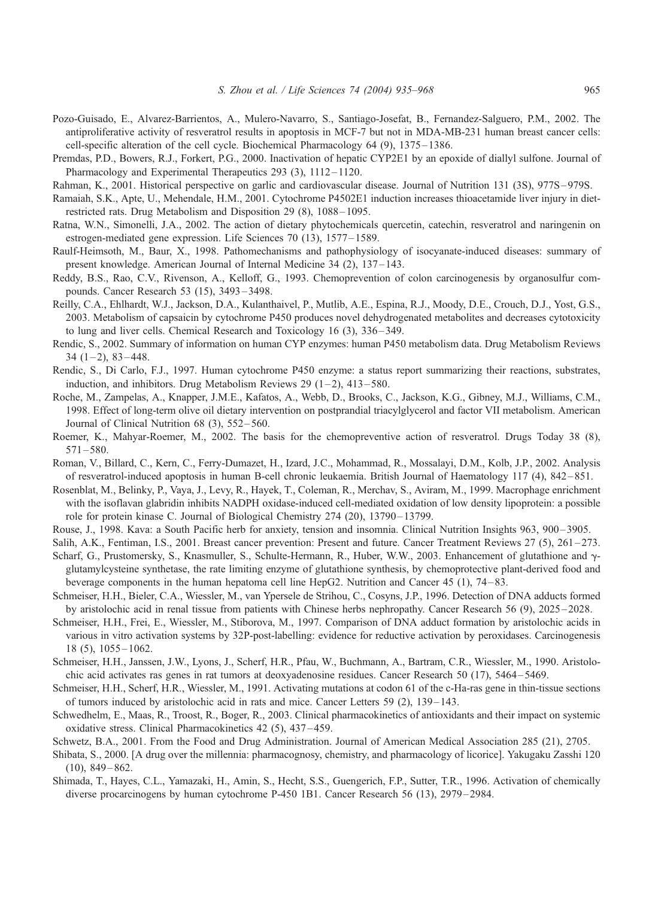- <span id="page-30-0"></span>Pozo-Guisado, E., Alvarez-Barrientos, A., Mulero-Navarro, S., Santiago-Josefat, B., Fernandez-Salguero, P.M., 2002. The antiproliferative activity of resveratrol results in apoptosis in MCF-7 but not in MDA-MB-231 human breast cancer cells: cell-specific alteration of the cell cycle. Biochemical Pharmacology 64 (9), 1375 – 1386.
- Premdas, P.D., Bowers, R.J., Forkert, P.G., 2000. Inactivation of hepatic CYP2E1 by an epoxide of diallyl sulfone. Journal of Pharmacology and Experimental Therapeutics 293 (3), 1112-1120.
- Rahman, K., 2001. Historical perspective on garlic and cardiovascular disease. Journal of Nutrition 131 (3S), 977S 979S.
- Ramaiah, S.K., Apte, U., Mehendale, H.M., 2001. Cytochrome P4502E1 induction increases thioacetamide liver injury in dietrestricted rats. Drug Metabolism and Disposition 29 (8), 1088 – 1095.
- Ratna, W.N., Simonelli, J.A., 2002. The action of dietary phytochemicals quercetin, catechin, resveratrol and naringenin on estrogen-mediated gene expression. Life Sciences 70 (13), 1577 – 1589.
- Raulf-Heimsoth, M., Baur, X., 1998. Pathomechanisms and pathophysiology of isocyanate-induced diseases: summary of present knowledge. American Journal of Internal Medicine 34 (2), 137-143.
- Reddy, B.S., Rao, C.V., Rivenson, A., Kelloff, G., 1993. Chemoprevention of colon carcinogenesis by organosulfur compounds. Cancer Research 53 (15), 3493 – 3498.
- Reilly, C.A., Ehlhardt, W.J., Jackson, D.A., Kulanthaivel, P., Mutlib, A.E., Espina, R.J., Moody, D.E., Crouch, D.J., Yost, G.S., 2003. Metabolism of capsaicin by cytochrome P450 produces novel dehydrogenated metabolites and decreases cytotoxicity to lung and liver cells. Chemical Research and Toxicology 16 (3), 336 – 349.
- Rendic, S., 2002. Summary of information on human CYP enzymes: human P450 metabolism data. Drug Metabolism Reviews  $34(1-2), 83-448.$
- Rendic, S., Di Carlo, F.J., 1997. Human cytochrome P450 enzyme: a status report summarizing their reactions, substrates, induction, and inhibitors. Drug Metabolism Reviews 29  $(1-2)$ , 413-580.
- Roche, M., Zampelas, A., Knapper, J.M.E., Kafatos, A., Webb, D., Brooks, C., Jackson, K.G., Gibney, M.J., Williams, C.M., 1998. Effect of long-term olive oil dietary intervention on postprandial triacylglycerol and factor VII metabolism. American Journal of Clinical Nutrition 68 (3), 552 – 560.
- Roemer, K., Mahyar-Roemer, M., 2002. The basis for the chemopreventive action of resveratrol. Drugs Today 38 (8),  $571 - 580.$
- Roman, V., Billard, C., Kern, C., Ferry-Dumazet, H., Izard, J.C., Mohammad, R., Mossalayi, D.M., Kolb, J.P., 2002. Analysis of resveratrol-induced apoptosis in human B-cell chronic leukaemia. British Journal of Haematology 117 (4), 842 – 851.
- Rosenblat, M., Belinky, P., Vaya, J., Levy, R., Hayek, T., Coleman, R., Merchav, S., Aviram, M., 1999. Macrophage enrichment with the isoflavan glabridin inhibits NADPH oxidase-induced cell-mediated oxidation of low density lipoprotein: a possible role for protein kinase C. Journal of Biological Chemistry 274 (20), 13790 – 13799.
- Rouse, J., 1998. Kava: a South Pacific herb for anxiety, tension and insomnia. Clinical Nutrition Insights 963, 900 3905.
- Salih, A.K., Fentiman, I.S., 2001. Breast cancer prevention: Present and future. Cancer Treatment Reviews 27 (5), 261-273.
- Scharf, G., Prustomersky, S., Knasmuller, S., Schulte-Hermann, R., Huber, W.W., 2003. Enhancement of glutathione and γglutamylcysteine synthetase, the rate limiting enzyme of glutathione synthesis, by chemoprotective plant-derived food and beverage components in the human hepatoma cell line HepG2. Nutrition and Cancer 45 (1), 74 – 83.
- Schmeiser, H.H., Bieler, C.A., Wiessler, M., van Ypersele de Strihou, C., Cosyns, J.P., 1996. Detection of DNA adducts formed by aristolochic acid in renal tissue from patients with Chinese herbs nephropathy. Cancer Research 56 (9), 2025 – 2028.
- Schmeiser, H.H., Frei, E., Wiessler, M., Stiborova, M., 1997. Comparison of DNA adduct formation by aristolochic acids in various in vitro activation systems by 32P-post-labelling: evidence for reductive activation by peroxidases. Carcinogenesis 18 (5), 1055 – 1062.
- Schmeiser, H.H., Janssen, J.W., Lyons, J., Scherf, H.R., Pfau, W., Buchmann, A., Bartram, C.R., Wiessler, M., 1990. Aristolochic acid activates ras genes in rat tumors at deoxyadenosine residues. Cancer Research 50 (17), 5464 – 5469.
- Schmeiser, H.H., Scherf, H.R., Wiessler, M., 1991. Activating mutations at codon 61 of the c-Ha-ras gene in thin-tissue sections of tumors induced by aristolochic acid in rats and mice. Cancer Letters 59 (2), 139 – 143.
- Schwedhelm, E., Maas, R., Troost, R., Boger, R., 2003. Clinical pharmacokinetics of antioxidants and their impact on systemic oxidative stress. Clinical Pharmacokinetics 42 (5), 437 – 459.
- Schwetz, B.A., 2001. From the Food and Drug Administration. Journal of American Medical Association 285 (21), 2705.
- Shibata, S., 2000. [A drug over the millennia: pharmacognosy, chemistry, and pharmacology of licorice]. Yakugaku Zasshi 120  $(10), 849 - 862.$
- Shimada, T., Hayes, C.L., Yamazaki, H., Amin, S., Hecht, S.S., Guengerich, F.P., Sutter, T.R., 1996. Activation of chemically diverse procarcinogens by human cytochrome P-450 1B1. Cancer Research 56 (13), 2979–2984.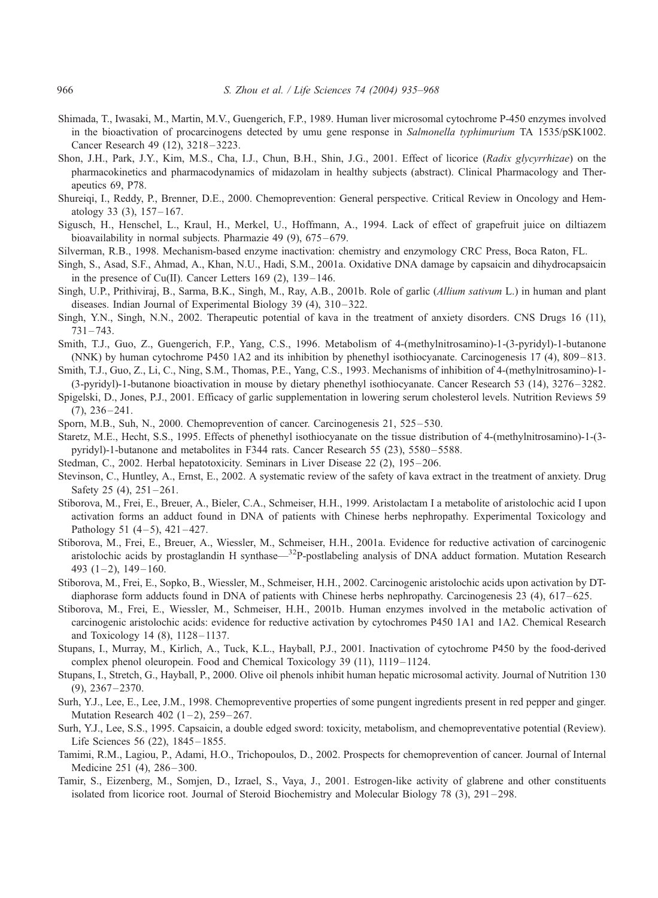- <span id="page-31-0"></span>Shimada, T., Iwasaki, M., Martin, M.V., Guengerich, F.P., 1989. Human liver microsomal cytochrome P-450 enzymes involved in the bioactivation of procarcinogens detected by umu gene response in Salmonella typhimurium TA 1535/pSK1002. Cancer Research 49 (12), 3218–3223.
- Shon, J.H., Park, J.Y., Kim, M.S., Cha, I.J., Chun, B.H., Shin, J.G., 2001. Effect of licorice (Radix glycyrrhizae) on the pharmacokinetics and pharmacodynamics of midazolam in healthy subjects (abstract). Clinical Pharmacology and Therapeutics 69, P78.
- Shureiqi, I., Reddy, P., Brenner, D.E., 2000. Chemoprevention: General perspective. Critical Review in Oncology and Hematology 33  $(3)$ , 157-167.
- Sigusch, H., Henschel, L., Kraul, H., Merkel, U., Hoffmann, A., 1994. Lack of effect of grapefruit juice on diltiazem bioavailability in normal subjects. Pharmazie 49 (9), 675–679.
- Silverman, R.B., 1998. Mechanism-based enzyme inactivation: chemistry and enzymology CRC Press, Boca Raton, FL.
- Singh, S., Asad, S.F., Ahmad, A., Khan, N.U., Hadi, S.M., 2001a. Oxidative DNA damage by capsaicin and dihydrocapsaicin in the presence of Cu(II). Cancer Letters  $169$  (2),  $139-146$ .
- Singh, U.P., Prithiviraj, B., Sarma, B.K., Singh, M., Ray, A.B., 2001b. Role of garlic (Allium sativum L.) in human and plant diseases. Indian Journal of Experimental Biology 39 (4), 310–322.
- Singh, Y.N., Singh, N.N., 2002. Therapeutic potential of kava in the treatment of anxiety disorders. CNS Drugs 16 (11),  $731 - 743.$
- Smith, T.J., Guo, Z., Guengerich, F.P., Yang, C.S., 1996. Metabolism of 4-(methylnitrosamino)-1-(3-pyridyl)-1-butanone (NNK) by human cytochrome P450 1A2 and its inhibition by phenethyl isothiocyanate. Carcinogenesis 17 (4), 809 – 813.
- Smith, T.J., Guo, Z., Li, C., Ning, S.M., Thomas, P.E., Yang, C.S., 1993. Mechanisms of inhibition of 4-(methylnitrosamino)-1- (3-pyridyl)-1-butanone bioactivation in mouse by dietary phenethyl isothiocyanate. Cancer Research 53 (14), 3276 – 3282.
- Spigelski, D., Jones, P.J., 2001. Efficacy of garlic supplementation in lowering serum cholesterol levels. Nutrition Reviews 59  $(7), 236 - 241.$
- Sporn, M.B., Suh, N., 2000. Chemoprevention of cancer. Carcinogenesis 21, 525 530.
- Staretz, M.E., Hecht, S.S., 1995. Effects of phenethyl isothiocyanate on the tissue distribution of 4-(methylnitrosamino)-1-(3 pyridyl)-1-butanone and metabolites in F344 rats. Cancer Research 55 (23), 5580 – 5588.
- Stedman, C., 2002. Herbal hepatotoxicity. Seminars in Liver Disease 22 (2), 195–206.
- Stevinson, C., Huntley, A., Ernst, E., 2002. A systematic review of the safety of kava extract in the treatment of anxiety. Drug Safety 25  $(4)$ , 251 – 261.
- Stiborova, M., Frei, E., Breuer, A., Bieler, C.A., Schmeiser, H.H., 1999. Aristolactam I a metabolite of aristolochic acid I upon activation forms an adduct found in DNA of patients with Chinese herbs nephropathy. Experimental Toxicology and Pathology 51  $(4-5)$ , 421-427.
- Stiborova, M., Frei, E., Breuer, A., Wiessler, M., Schmeiser, H.H., 2001a. Evidence for reductive activation of carcinogenic aristolochic acids by prostaglandin H synthase—<sup>32</sup>P-postlabeling analysis of DNA adduct formation. Mutation Research 493  $(1-2)$ , 149 – 160.
- Stiborova, M., Frei, E., Sopko, B., Wiessler, M., Schmeiser, H.H., 2002. Carcinogenic aristolochic acids upon activation by DTdiaphorase form adducts found in DNA of patients with Chinese herbs nephropathy. Carcinogenesis 23 (4), 617–625.
- Stiborova, M., Frei, E., Wiessler, M., Schmeiser, H.H., 2001b. Human enzymes involved in the metabolic activation of carcinogenic aristolochic acids: evidence for reductive activation by cytochromes P450 1A1 and 1A2. Chemical Research and Toxicology 14  $(8)$ , 1128 – 1137.
- Stupans, I., Murray, M., Kirlich, A., Tuck, K.L., Hayball, P.J., 2001. Inactivation of cytochrome P450 by the food-derived complex phenol oleuropein. Food and Chemical Toxicology 39 (11), 1119 – 1124.
- Stupans, I., Stretch, G., Hayball, P., 2000. Olive oil phenols inhibit human hepatic microsomal activity. Journal of Nutrition 130  $(9)$ ,  $2367 - 2370$ .
- Surh, Y.J., Lee, E., Lee, J.M., 1998. Chemopreventive properties of some pungent ingredients present in red pepper and ginger. Mutation Research 402  $(1-2)$ , 259-267.
- Surh, Y.J., Lee, S.S., 1995. Capsaicin, a double edged sword: toxicity, metabolism, and chemopreventative potential (Review). Life Sciences 56 (22), 1845–1855.
- Tamimi, R.M., Lagiou, P., Adami, H.O., Trichopoulos, D., 2002. Prospects for chemoprevention of cancer. Journal of Internal Medicine 251 (4), 286-300.
- Tamir, S., Eizenberg, M., Somjen, D., Izrael, S., Vaya, J., 2001. Estrogen-like activity of glabrene and other constituents isolated from licorice root. Journal of Steroid Biochemistry and Molecular Biology 78 (3), 291 – 298.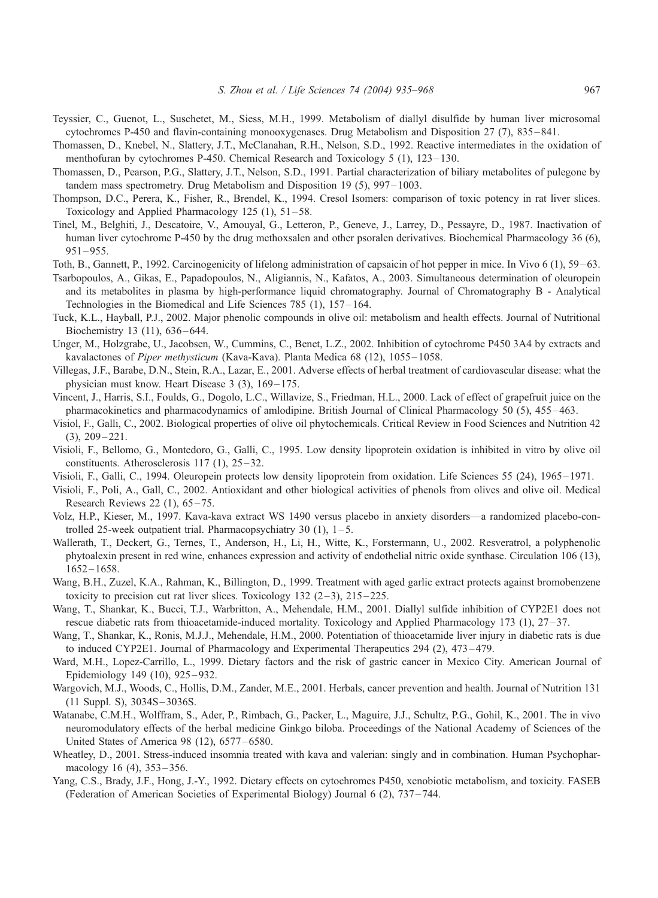- <span id="page-32-0"></span>Teyssier, C., Guenot, L., Suschetet, M., Siess, M.H., 1999. Metabolism of diallyl disulfide by human liver microsomal cytochromes P-450 and flavin-containing monooxygenases. Drug Metabolism and Disposition 27 (7), 835 – 841.
- Thomassen, D., Knebel, N., Slattery, J.T., McClanahan, R.H., Nelson, S.D., 1992. Reactive intermediates in the oxidation of menthofuran by cytochromes P-450. Chemical Research and Toxicology 5 (1), 123-130.
- Thomassen, D., Pearson, P.G., Slattery, J.T., Nelson, S.D., 1991. Partial characterization of biliary metabolites of pulegone by tandem mass spectrometry. Drug Metabolism and Disposition 19 (5), 997 – 1003.
- Thompson, D.C., Perera, K., Fisher, R., Brendel, K., 1994. Cresol Isomers: comparison of toxic potency in rat liver slices. Toxicology and Applied Pharmacology  $125$  (1),  $51 - 58$ .
- Tinel, M., Belghiti, J., Descatoire, V., Amouyal, G., Letteron, P., Geneve, J., Larrey, D., Pessayre, D., 1987. Inactivation of human liver cytochrome P-450 by the drug methoxsalen and other psoralen derivatives. Biochemical Pharmacology 36 (6),  $951 - 955$ .
- Toth, B., Gannett, P., 1992. Carcinogenicity of lifelong administration of capsaicin of hot pepper in mice. In Vivo 6 (1), 59 63.
- Tsarbopoulos, A., Gikas, E., Papadopoulos, N., Aligiannis, N., Kafatos, A., 2003. Simultaneous determination of oleuropein and its metabolites in plasma by high-performance liquid chromatography. Journal of Chromatography B - Analytical Technologies in the Biomedical and Life Sciences 785 (1), 157–164.
- Tuck, K.L., Hayball, P.J., 2002. Major phenolic compounds in olive oil: metabolism and health effects. Journal of Nutritional Biochemistry 13 (11), 636-644.
- Unger, M., Holzgrabe, U., Jacobsen, W., Cummins, C., Benet, L.Z., 2002. Inhibition of cytochrome P450 3A4 by extracts and kavalactones of Piper methysticum (Kava-Kava). Planta Medica 68 (12), 1055-1058.
- Villegas, J.F., Barabe, D.N., Stein, R.A., Lazar, E., 2001. Adverse effects of herbal treatment of cardiovascular disease: what the physician must know. Heart Disease 3 (3), 169-175.
- Vincent, J., Harris, S.I., Foulds, G., Dogolo, L.C., Willavize, S., Friedman, H.L., 2000. Lack of effect of grapefruit juice on the pharmacokinetics and pharmacodynamics of amlodipine. British Journal of Clinical Pharmacology 50 (5), 455 – 463.
- Visiol, F., Galli, C., 2002. Biological properties of olive oil phytochemicals. Critical Review in Food Sciences and Nutrition 42  $(3), 209 - 221.$
- Visioli, F., Bellomo, G., Montedoro, G., Galli, C., 1995. Low density lipoprotein oxidation is inhibited in vitro by olive oil constituents. Atherosclerosis 117 (1),  $25-32$ .
- Visioli, F., Galli, C., 1994. Oleuropein protects low density lipoprotein from oxidation. Life Sciences 55 (24), 1965 1971.
- Visioli, F., Poli, A., Gall, C., 2002. Antioxidant and other biological activities of phenols from olives and olive oil. Medical Research Reviews 22 (1), 65 – 75.
- Volz, H.P., Kieser, M., 1997. Kava-kava extract WS 1490 versus placebo in anxiety disorders—a randomized placebo-controlled 25-week outpatient trial. Pharmacopsychiatry 30  $(1)$ ,  $1-5$ .
- Wallerath, T., Deckert, G., Ternes, T., Anderson, H., Li, H., Witte, K., Forstermann, U., 2002. Resveratrol, a polyphenolic phytoalexin present in red wine, enhances expression and activity of endothelial nitric oxide synthase. Circulation 106 (13), 1652 – 1658.
- Wang, B.H., Zuzel, K.A., Rahman, K., Billington, D., 1999. Treatment with aged garlic extract protects against bromobenzene toxicity to precision cut rat liver slices. Toxicology  $132$  (2-3),  $215-225$ .
- Wang, T., Shankar, K., Bucci, T.J., Warbritton, A., Mehendale, H.M., 2001. Diallyl sulfide inhibition of CYP2E1 does not rescue diabetic rats from thioacetamide-induced mortality. Toxicology and Applied Pharmacology 173 (1), 27 – 37.
- Wang, T., Shankar, K., Ronis, M.J.J., Mehendale, H.M., 2000. Potentiation of thioacetamide liver injury in diabetic rats is due to induced CYP2E1. Journal of Pharmacology and Experimental Therapeutics 294 (2), 473 – 479.
- Ward, M.H., Lopez-Carrillo, L., 1999. Dietary factors and the risk of gastric cancer in Mexico City. American Journal of Epidemiology 149 (10), 925–932.
- Wargovich, M.J., Woods, C., Hollis, D.M., Zander, M.E., 2001. Herbals, cancer prevention and health. Journal of Nutrition 131 (11 Suppl. S), 3034S – 3036S.
- Watanabe, C.M.H., Wolffram, S., Ader, P., Rimbach, G., Packer, L., Maguire, J.J., Schultz, P.G., Gohil, K., 2001. The in vivo neuromodulatory effects of the herbal medicine Ginkgo biloba. Proceedings of the National Academy of Sciences of the United States of America 98 (12), 6577 – 6580.
- Wheatley, D., 2001. Stress-induced insomnia treated with kava and valerian: singly and in combination. Human Psychopharmacology 16 (4), 353–356.
- Yang, C.S., Brady, J.F., Hong, J.-Y., 1992. Dietary effects on cytochromes P450, xenobiotic metabolism, and toxicity. FASEB (Federation of American Societies of Experimental Biology) Journal 6 (2), 737 – 744.